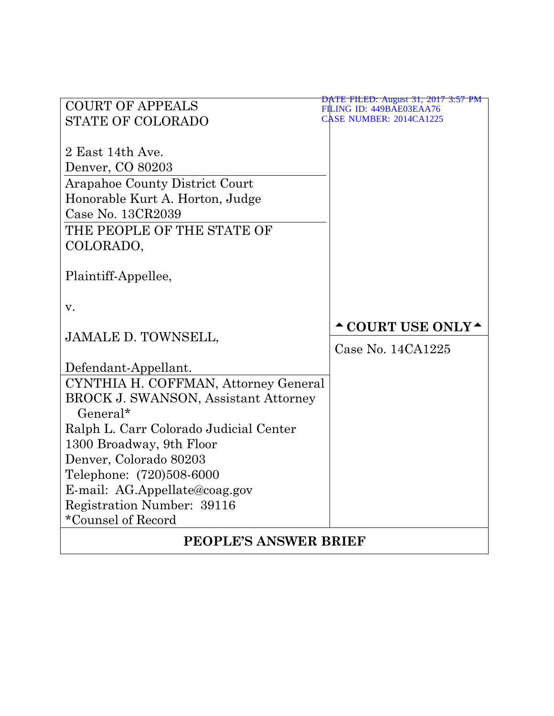| <b>COURT OF APPEALS</b>                     | DATE FILED: August 31, 2017 3:57 PM<br>FILING ID: 449BAE03EAA76                                                         |  |  |
|---------------------------------------------|-------------------------------------------------------------------------------------------------------------------------|--|--|
| <b>STATE OF COLORADO</b>                    | <b>CASE NUMBER: 2014CA1225</b>                                                                                          |  |  |
|                                             |                                                                                                                         |  |  |
| 2 East 14th Ave.                            |                                                                                                                         |  |  |
| Denver, CO 80203                            |                                                                                                                         |  |  |
| <b>Arapahoe County District Court</b>       |                                                                                                                         |  |  |
| Honorable Kurt A. Horton, Judge             |                                                                                                                         |  |  |
| Case No. 13CR2039                           |                                                                                                                         |  |  |
| THE PEOPLE OF THE STATE OF                  |                                                                                                                         |  |  |
| COLORADO,                                   |                                                                                                                         |  |  |
|                                             |                                                                                                                         |  |  |
| Plaintiff-Appellee,                         |                                                                                                                         |  |  |
|                                             |                                                                                                                         |  |  |
| v.                                          |                                                                                                                         |  |  |
| <b>JAMALE D. TOWNSELL,</b>                  | $\textcolor{red}{\textbf{\textcolor{blue}{\sim}}}$ COURT USE ONLY $\textcolor{red}{\textbf{\textcolor{blue}{\bullet}}}$ |  |  |
|                                             | Case No. 14CA1225                                                                                                       |  |  |
| Defendant-Appellant.                        |                                                                                                                         |  |  |
| CYNTHIA H. COFFMAN, Attorney General        |                                                                                                                         |  |  |
| <b>BROCK J. SWANSON, Assistant Attorney</b> |                                                                                                                         |  |  |
| $General*$                                  |                                                                                                                         |  |  |
| Ralph L. Carr Colorado Judicial Center      |                                                                                                                         |  |  |
| 1300 Broadway, 9th Floor                    |                                                                                                                         |  |  |
| Denver, Colorado 80203                      |                                                                                                                         |  |  |
| Telephone: (720)508-6000                    |                                                                                                                         |  |  |
| E-mail: AG.Appellate@coag.gov               |                                                                                                                         |  |  |
| Registration Number: 39116                  |                                                                                                                         |  |  |
| *Counsel of Record                          |                                                                                                                         |  |  |
| <b>PEOPLE'S ANSWER BRIEF</b>                |                                                                                                                         |  |  |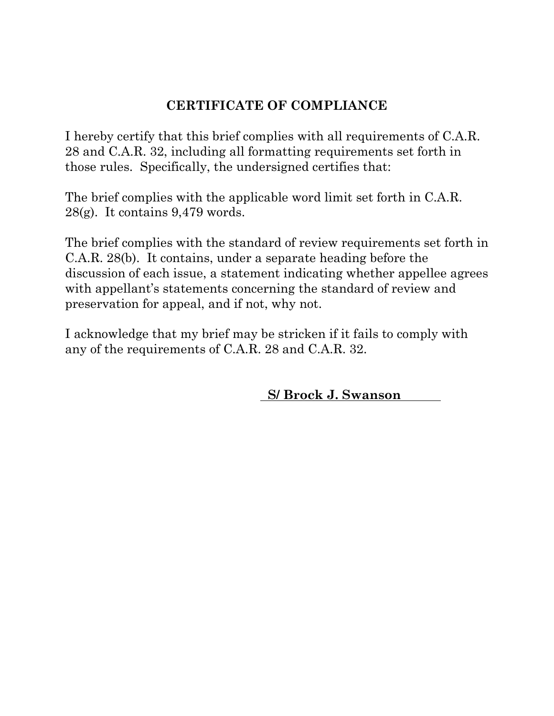# **CERTIFICATE OF COMPLIANCE**

I hereby certify that this brief complies with all requirements of C.A.R. 28 and C.A.R. 32, including all formatting requirements set forth in those rules. Specifically, the undersigned certifies that:

The brief complies with the applicable word limit set forth in C.A.R. 28(g). It contains 9,479 words.

The brief complies with the standard of review requirements set forth in C.A.R. 28(b). It contains, under a separate heading before the discussion of each issue, a statement indicating whether appellee agrees with appellant's statements concerning the standard of review and preservation for appeal, and if not, why not.

I acknowledge that my brief may be stricken if it fails to comply with any of the requirements of C.A.R. 28 and C.A.R. 32.

 **S/ Brock J. Swanson**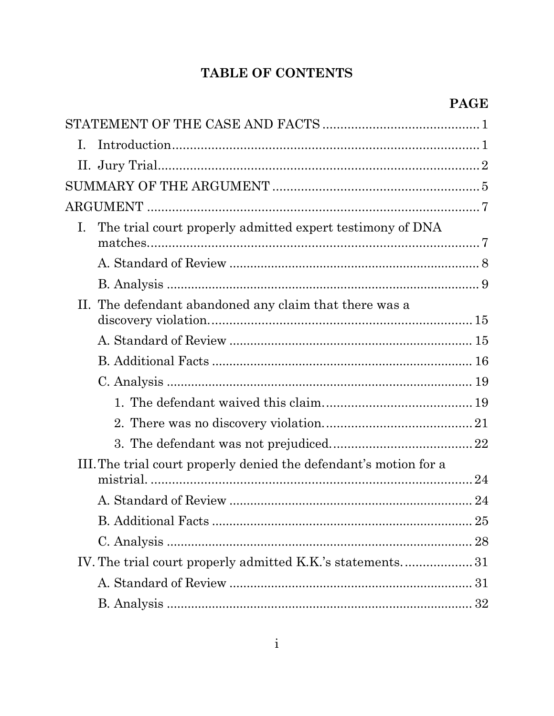# TABLE OF CONTENTS

| Ι.                                                                       |    |
|--------------------------------------------------------------------------|----|
|                                                                          |    |
|                                                                          |    |
|                                                                          |    |
| The trial court properly admitted expert testimony of DNA<br>$I_{\cdot}$ |    |
|                                                                          |    |
|                                                                          |    |
| The defendant abandoned any claim that there was a<br>$\Pi$ .            |    |
|                                                                          |    |
|                                                                          |    |
|                                                                          |    |
|                                                                          |    |
|                                                                          |    |
|                                                                          |    |
| III. The trial court properly denied the defendant's motion for a        |    |
|                                                                          |    |
|                                                                          |    |
|                                                                          | 25 |
|                                                                          |    |
|                                                                          |    |
|                                                                          |    |
|                                                                          |    |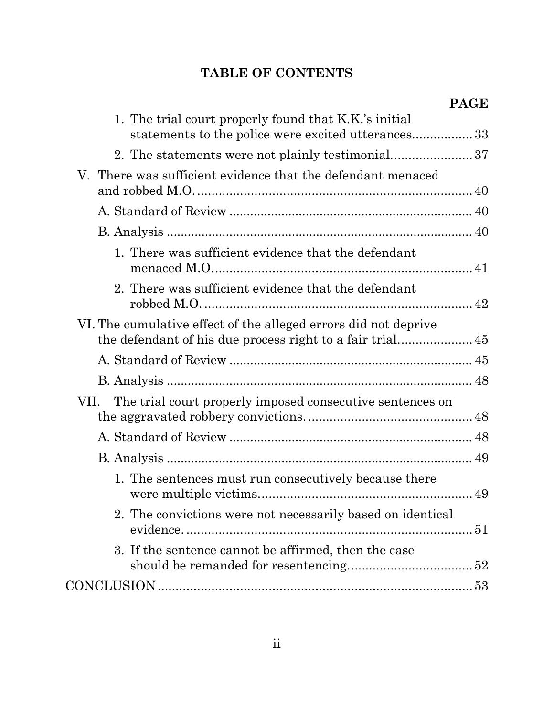# **TABLE OF CONTENTS**

| 1. The trial court properly found that K.K.'s initial<br>statements to the police were excited utterances33 |  |
|-------------------------------------------------------------------------------------------------------------|--|
|                                                                                                             |  |
| V. There was sufficient evidence that the defendant menaced                                                 |  |
|                                                                                                             |  |
|                                                                                                             |  |
| 1. There was sufficient evidence that the defendant                                                         |  |
| 2. There was sufficient evidence that the defendant                                                         |  |
| VI. The cumulative effect of the alleged errors did not deprive                                             |  |
|                                                                                                             |  |
|                                                                                                             |  |
| The trial court properly imposed consecutive sentences on<br>VII.                                           |  |
|                                                                                                             |  |
|                                                                                                             |  |
| 1. The sentences must run consecutively because there                                                       |  |
| 2. The convictions were not necessarily based on identical                                                  |  |
| 3. If the sentence cannot be affirmed, then the case                                                        |  |
|                                                                                                             |  |
|                                                                                                             |  |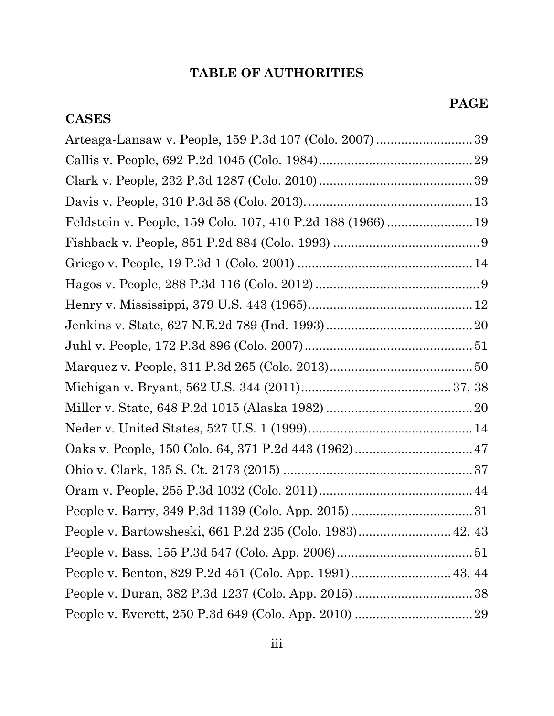# **CASES**

| Feldstein v. People, 159 Colo. 107, 410 P.2d 188 (1966)  19 |  |
|-------------------------------------------------------------|--|
|                                                             |  |
|                                                             |  |
|                                                             |  |
|                                                             |  |
|                                                             |  |
|                                                             |  |
|                                                             |  |
|                                                             |  |
|                                                             |  |
|                                                             |  |
|                                                             |  |
|                                                             |  |
|                                                             |  |
|                                                             |  |
| People v. Bartowsheski, 661 P.2d 235 (Colo. 1983) 42, 43    |  |
|                                                             |  |
| People v. Benton, 829 P.2d 451 (Colo. App. 1991) 43, 44     |  |
|                                                             |  |
|                                                             |  |
|                                                             |  |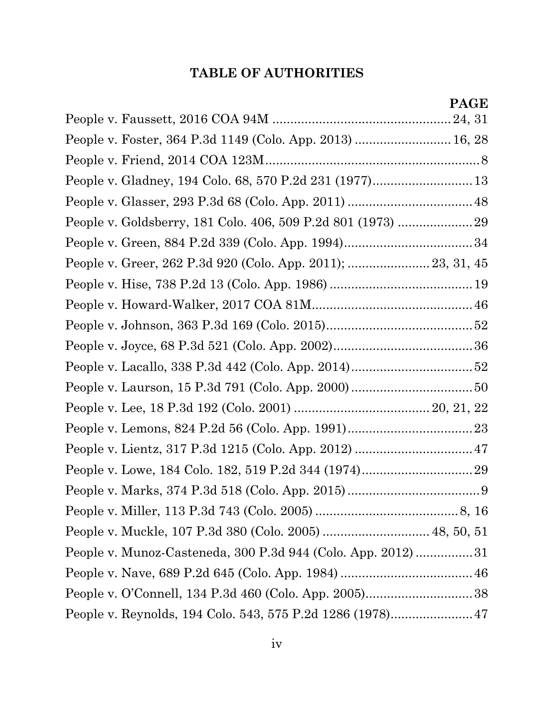| People v. Foster, 364 P.3d 1149 (Colo. App. 2013)  16, 28    |  |
|--------------------------------------------------------------|--|
|                                                              |  |
|                                                              |  |
|                                                              |  |
|                                                              |  |
|                                                              |  |
| People v. Greer, 262 P.3d 920 (Colo. App. 2011);  23, 31, 45 |  |
|                                                              |  |
|                                                              |  |
|                                                              |  |
|                                                              |  |
|                                                              |  |
|                                                              |  |
|                                                              |  |
|                                                              |  |
|                                                              |  |
|                                                              |  |
|                                                              |  |
|                                                              |  |
|                                                              |  |
| People v. Munoz-Casteneda, 300 P.3d 944 (Colo. App. 2012) 31 |  |
|                                                              |  |
|                                                              |  |
|                                                              |  |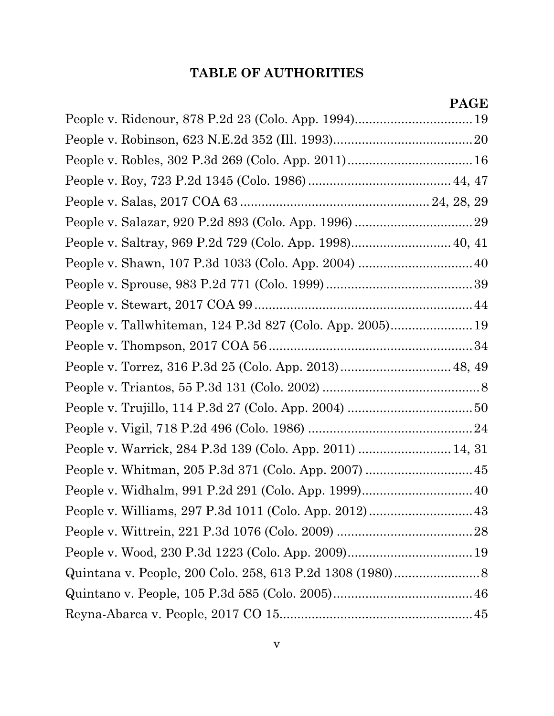| People v. Robles, 302 P.3d 269 (Colo. App. 2011) 16       |  |
|-----------------------------------------------------------|--|
|                                                           |  |
|                                                           |  |
|                                                           |  |
|                                                           |  |
|                                                           |  |
|                                                           |  |
|                                                           |  |
| People v. Tallwhiteman, 124 P.3d 827 (Colo. App. 2005) 19 |  |
|                                                           |  |
|                                                           |  |
|                                                           |  |
|                                                           |  |
|                                                           |  |
| People v. Warrick, 284 P.3d 139 (Colo. App. 2011)  14, 31 |  |
| People v. Whitman, 205 P.3d 371 (Colo. App. 2007)  45     |  |
|                                                           |  |
|                                                           |  |
|                                                           |  |
|                                                           |  |
|                                                           |  |
|                                                           |  |
|                                                           |  |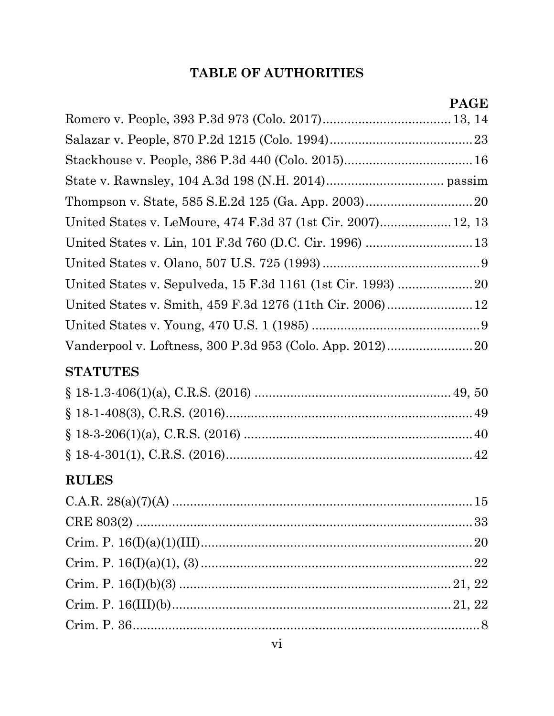| United States v. LeMoure, 474 F.3d 37 (1st Cir. 2007) 12, 13 |  |
|--------------------------------------------------------------|--|
|                                                              |  |
|                                                              |  |
|                                                              |  |
|                                                              |  |
|                                                              |  |
| Vanderpool v. Loftness, 300 P.3d 953 (Colo. App. 2012) 20    |  |
| <b>STATUTES</b>                                              |  |
|                                                              |  |
|                                                              |  |
|                                                              |  |
|                                                              |  |
| <b>RULES</b>                                                 |  |
|                                                              |  |
|                                                              |  |
|                                                              |  |
|                                                              |  |
|                                                              |  |
|                                                              |  |
|                                                              |  |
|                                                              |  |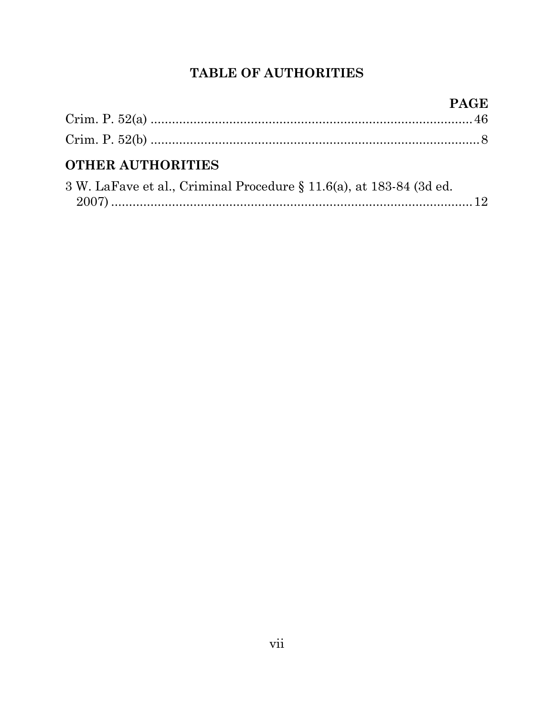# **OTHER AUTHORITIES**

| 3 W. LaFave et al., Criminal Procedure § 11.6(a), at 183-84 (3d ed. |  |
|---------------------------------------------------------------------|--|
|                                                                     |  |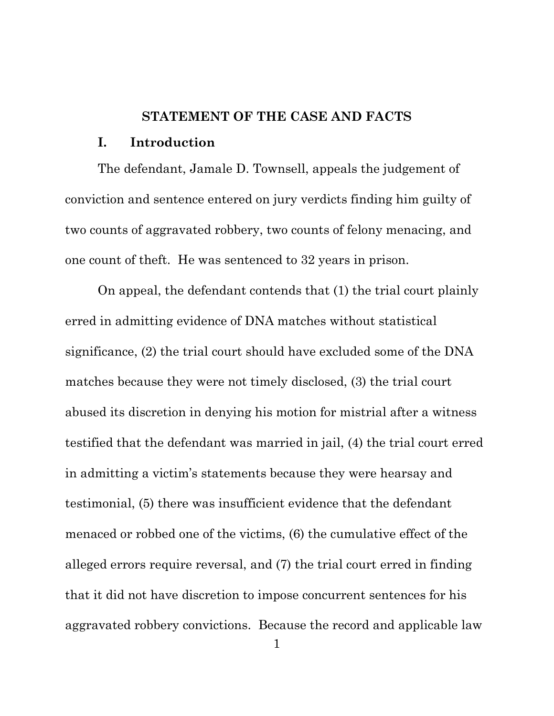### **STATEMENT OF THE CASE AND FACTS**

#### <span id="page-9-0"></span>**I. Introduction**

<span id="page-9-1"></span>The defendant, Jamale D. Townsell, appeals the judgement of conviction and sentence entered on jury verdicts finding him guilty of two counts of aggravated robbery, two counts of felony menacing, and one count of theft. He was sentenced to 32 years in prison.

On appeal, the defendant contends that (1) the trial court plainly erred in admitting evidence of DNA matches without statistical significance, (2) the trial court should have excluded some of the DNA matches because they were not timely disclosed, (3) the trial court abused its discretion in denying his motion for mistrial after a witness testified that the defendant was married in jail, (4) the trial court erred in admitting a victim's statements because they were hearsay and testimonial, (5) there was insufficient evidence that the defendant menaced or robbed one of the victims, (6) the cumulative effect of the alleged errors require reversal, and (7) the trial court erred in finding that it did not have discretion to impose concurrent sentences for his aggravated robbery convictions. Because the record and applicable law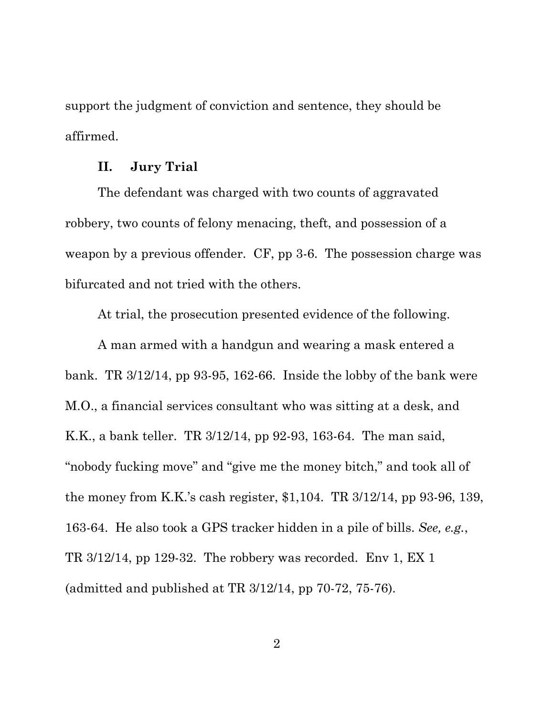support the judgment of conviction and sentence, they should be affirmed.

### **II. Jury Trial**

<span id="page-10-0"></span>The defendant was charged with two counts of aggravated robbery, two counts of felony menacing, theft, and possession of a weapon by a previous offender. CF, pp 3-6. The possession charge was bifurcated and not tried with the others.

At trial, the prosecution presented evidence of the following.

A man armed with a handgun and wearing a mask entered a bank. TR 3/12/14, pp 93-95, 162-66. Inside the lobby of the bank were M.O., a financial services consultant who was sitting at a desk, and K.K., a bank teller. TR 3/12/14, pp 92-93, 163-64. The man said, "nobody fucking move" and "give me the money bitch," and took all of the money from K.K.'s cash register, \$1,104. TR 3/12/14, pp 93-96, 139, 163-64. He also took a GPS tracker hidden in a pile of bills. *See, e.g.*, TR 3/12/14, pp 129-32. The robbery was recorded. Env 1, EX 1 (admitted and published at TR 3/12/14, pp 70-72, 75-76).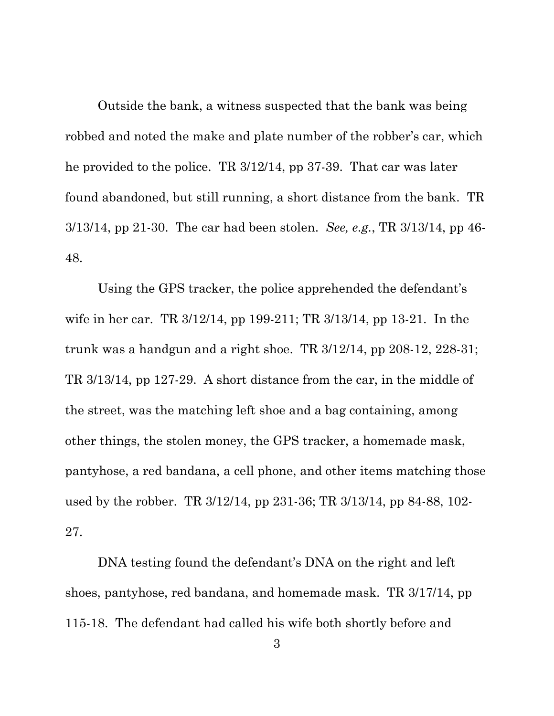Outside the bank, a witness suspected that the bank was being robbed and noted the make and plate number of the robber's car, which he provided to the police. TR 3/12/14, pp 37-39. That car was later found abandoned, but still running, a short distance from the bank. TR 3/13/14, pp 21-30. The car had been stolen. *See, e.g.*, TR 3/13/14, pp 46- 48.

Using the GPS tracker, the police apprehended the defendant's wife in her car. TR 3/12/14, pp 199-211; TR 3/13/14, pp 13-21. In the trunk was a handgun and a right shoe. TR 3/12/14, pp 208-12, 228-31; TR 3/13/14, pp 127-29. A short distance from the car, in the middle of the street, was the matching left shoe and a bag containing, among other things, the stolen money, the GPS tracker, a homemade mask, pantyhose, a red bandana, a cell phone, and other items matching those used by the robber. TR 3/12/14, pp 231-36; TR 3/13/14, pp 84-88, 102- 27.

DNA testing found the defendant's DNA on the right and left shoes, pantyhose, red bandana, and homemade mask. TR 3/17/14, pp 115-18. The defendant had called his wife both shortly before and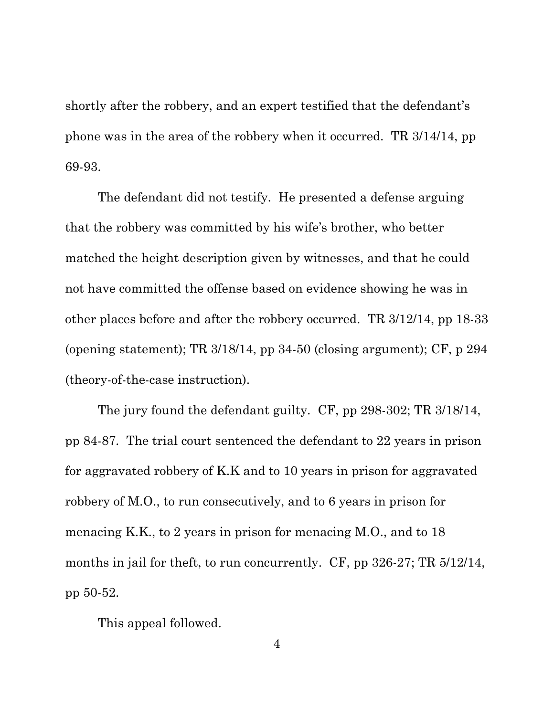shortly after the robbery, and an expert testified that the defendant's phone was in the area of the robbery when it occurred. TR 3/14/14, pp 69-93.

The defendant did not testify. He presented a defense arguing that the robbery was committed by his wife's brother, who better matched the height description given by witnesses, and that he could not have committed the offense based on evidence showing he was in other places before and after the robbery occurred. TR 3/12/14, pp 18-33 (opening statement); TR  $3/18/14$ , pp  $34-50$  (closing argument); CF, p  $294$ (theory-of-the-case instruction).

The jury found the defendant guilty. CF, pp 298-302; TR 3/18/14, pp 84-87. The trial court sentenced the defendant to 22 years in prison for aggravated robbery of K.K and to 10 years in prison for aggravated robbery of M.O., to run consecutively, and to 6 years in prison for menacing K.K., to 2 years in prison for menacing M.O., and to 18 months in jail for theft, to run concurrently. CF, pp 326-27; TR 5/12/14, pp 50-52.

This appeal followed.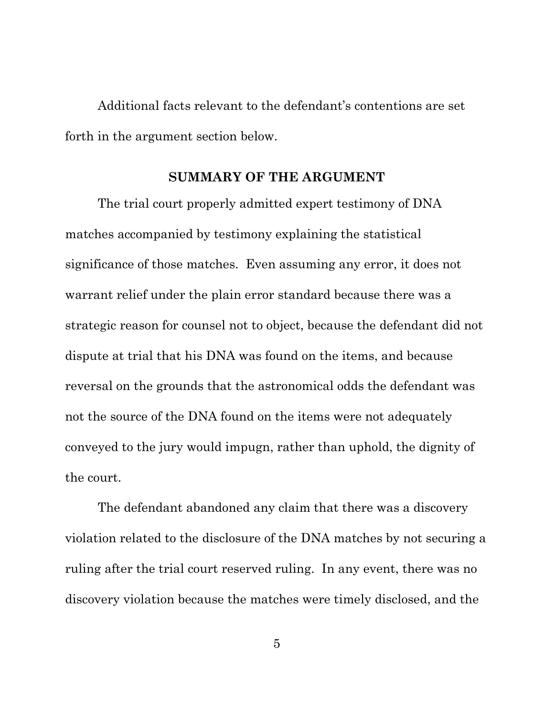Additional facts relevant to the defendant's contentions are set forth in the argument section below.

## **SUMMARY OF THE ARGUMENT**

<span id="page-13-0"></span>The trial court properly admitted expert testimony of DNA matches accompanied by testimony explaining the statistical significance of those matches. Even assuming any error, it does not warrant relief under the plain error standard because there was a strategic reason for counsel not to object, because the defendant did not dispute at trial that his DNA was found on the items, and because reversal on the grounds that the astronomical odds the defendant was not the source of the DNA found on the items were not adequately conveyed to the jury would impugn, rather than uphold, the dignity of the court.

The defendant abandoned any claim that there was a discovery violation related to the disclosure of the DNA matches by not securing a ruling after the trial court reserved ruling. In any event, there was no discovery violation because the matches were timely disclosed, and the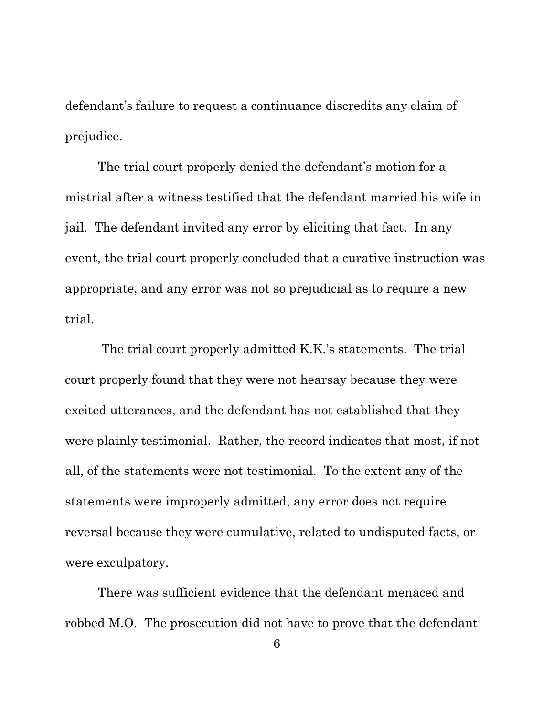defendant's failure to request a continuance discredits any claim of prejudice.

The trial court properly denied the defendant's motion for a mistrial after a witness testified that the defendant married his wife in jail. The defendant invited any error by eliciting that fact. In any event, the trial court properly concluded that a curative instruction was appropriate, and any error was not so prejudicial as to require a new trial.

The trial court properly admitted K.K.'s statements. The trial court properly found that they were not hearsay because they were excited utterances, and the defendant has not established that they were plainly testimonial. Rather, the record indicates that most, if not all, of the statements were not testimonial. To the extent any of the statements were improperly admitted, any error does not require reversal because they were cumulative, related to undisputed facts, or were exculpatory.

There was sufficient evidence that the defendant menaced and robbed M.O. The prosecution did not have to prove that the defendant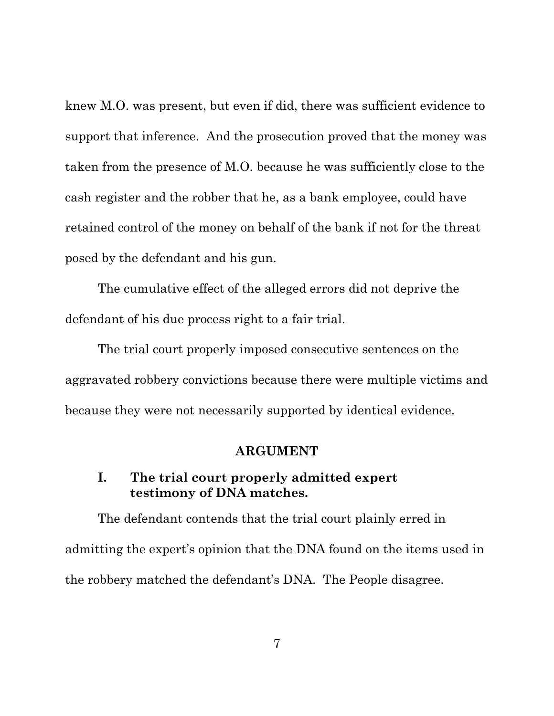knew M.O. was present, but even if did, there was sufficient evidence to support that inference. And the prosecution proved that the money was taken from the presence of M.O. because he was sufficiently close to the cash register and the robber that he, as a bank employee, could have retained control of the money on behalf of the bank if not for the threat posed by the defendant and his gun.

The cumulative effect of the alleged errors did not deprive the defendant of his due process right to a fair trial.

The trial court properly imposed consecutive sentences on the aggravated robbery convictions because there were multiple victims and because they were not necessarily supported by identical evidence.

#### **ARGUMENT**

## <span id="page-15-1"></span><span id="page-15-0"></span>**I. The trial court properly admitted expert testimony of DNA matches.**

The defendant contends that the trial court plainly erred in admitting the expert's opinion that the DNA found on the items used in the robbery matched the defendant's DNA. The People disagree.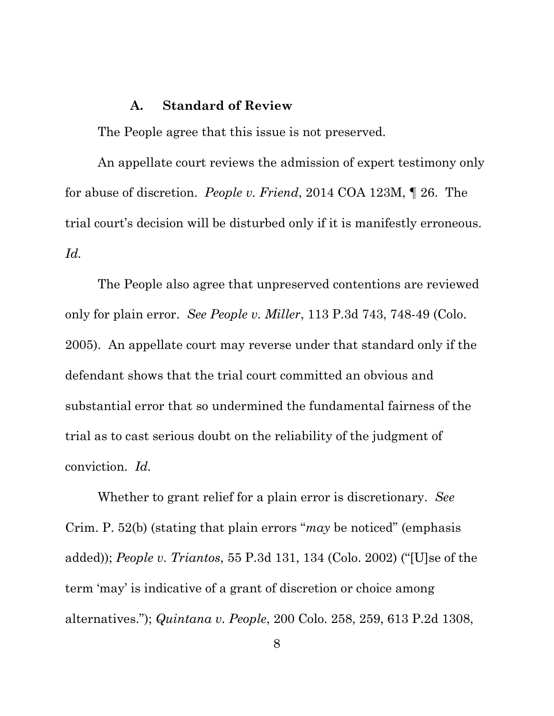### **A. Standard of Review**

<span id="page-16-0"></span>The People agree that this issue is not preserved.

An appellate court reviews the admission of expert testimony only for abuse of discretion. *People v. Friend*, 2014 COA 123M, ¶ 26. The trial court's decision will be disturbed only if it is manifestly erroneous. *Id.* 

The People also agree that unpreserved contentions are reviewed only for plain error. *See People v. Miller*, 113 P.3d 743, 748-49 (Colo. 2005). An appellate court may reverse under that standard only if the defendant shows that the trial court committed an obvious and substantial error that so undermined the fundamental fairness of the trial as to cast serious doubt on the reliability of the judgment of conviction. *Id.*

Whether to grant relief for a plain error is discretionary. *See* Crim. P. 52(b) (stating that plain errors "*may* be noticed" (emphasis added)); *People v. Triantos*, 55 P.3d 131, 134 (Colo. 2002) ("[U]se of the term 'may' is indicative of a grant of discretion or choice among alternatives."); *Quintana v. People*, 200 Colo. 258, 259, 613 P.2d 1308,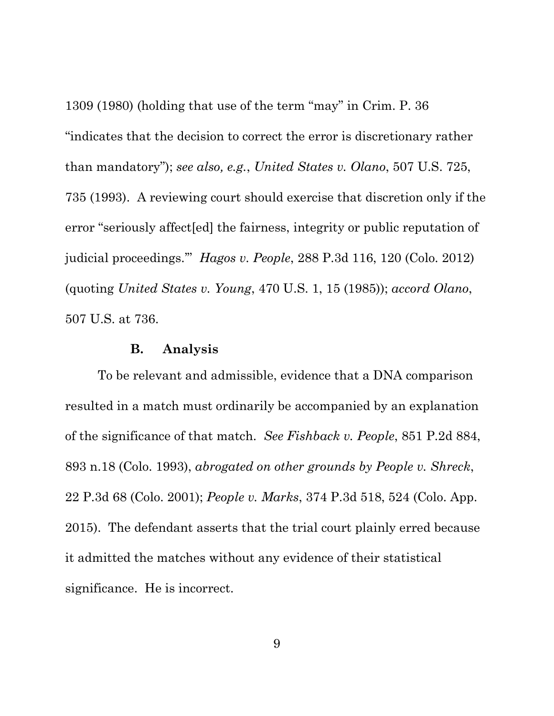1309 (1980) (holding that use of the term "may" in Crim. P. 36 "indicates that the decision to correct the error is discretionary rather than mandatory"); *see also, e.g.*, *United States v. Olano*, 507 U.S. 725, 735 (1993). A reviewing court should exercise that discretion only if the error "seriously affect[ed] the fairness, integrity or public reputation of judicial proceedings.'" *Hagos v. People*, 288 P.3d 116, 120 (Colo. 2012) (quoting *United States v. Young*, 470 U.S. 1, 15 (1985)); *accord Olano*, 507 U.S. at 736.

#### **B. Analysis**

<span id="page-17-0"></span>To be relevant and admissible, evidence that a DNA comparison resulted in a match must ordinarily be accompanied by an explanation of the significance of that match. *See Fishback v. People*, 851 P.2d 884, 893 n.18 (Colo. 1993), *abrogated on other grounds by People v. Shreck*, 22 P.3d 68 (Colo. 2001); *People v. Marks*, 374 P.3d 518, 524 (Colo. App. 2015). The defendant asserts that the trial court plainly erred because it admitted the matches without any evidence of their statistical significance. He is incorrect.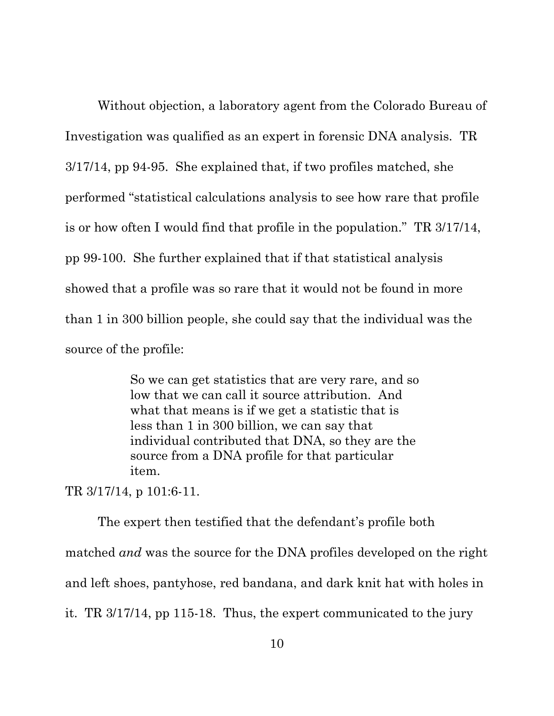Without objection, a laboratory agent from the Colorado Bureau of Investigation was qualified as an expert in forensic DNA analysis. TR 3/17/14, pp 94-95. She explained that, if two profiles matched, she performed "statistical calculations analysis to see how rare that profile is or how often I would find that profile in the population." TR 3/17/14, pp 99-100. She further explained that if that statistical analysis showed that a profile was so rare that it would not be found in more than 1 in 300 billion people, she could say that the individual was the source of the profile:

> So we can get statistics that are very rare, and so low that we can call it source attribution. And what that means is if we get a statistic that is less than 1 in 300 billion, we can say that individual contributed that DNA, so they are the source from a DNA profile for that particular item.

TR 3/17/14, p 101:6-11.

The expert then testified that the defendant's profile both matched *and* was the source for the DNA profiles developed on the right and left shoes, pantyhose, red bandana, and dark knit hat with holes in it. TR 3/17/14, pp 115-18. Thus, the expert communicated to the jury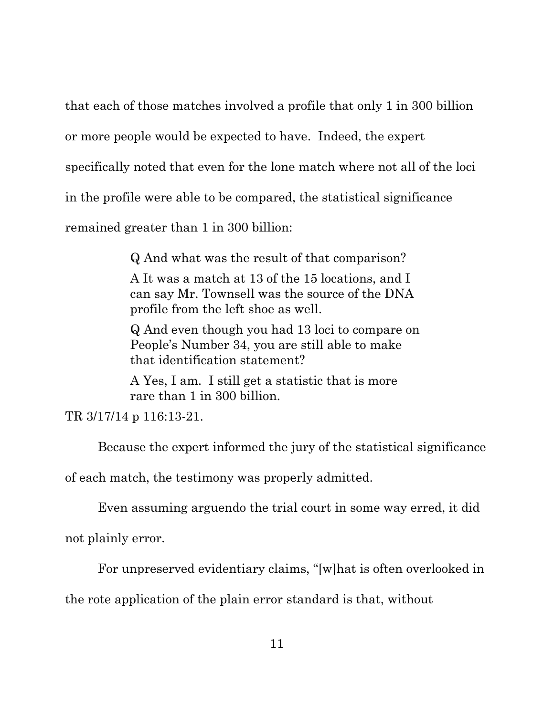that each of those matches involved a profile that only 1 in 300 billion

or more people would be expected to have. Indeed, the expert

specifically noted that even for the lone match where not all of the loci

in the profile were able to be compared, the statistical significance

remained greater than 1 in 300 billion:

Q And what was the result of that comparison?

A It was a match at 13 of the 15 locations, and I can say Mr. Townsell was the source of the DNA profile from the left shoe as well.

Q And even though you had 13 loci to compare on People's Number 34, you are still able to make that identification statement?

A Yes, I am. I still get a statistic that is more rare than 1 in 300 billion.

TR 3/17/14 p 116:13-21.

Because the expert informed the jury of the statistical significance

of each match, the testimony was properly admitted.

Even assuming arguendo the trial court in some way erred, it did

not plainly error.

For unpreserved evidentiary claims, "[w]hat is often overlooked in

the rote application of the plain error standard is that, without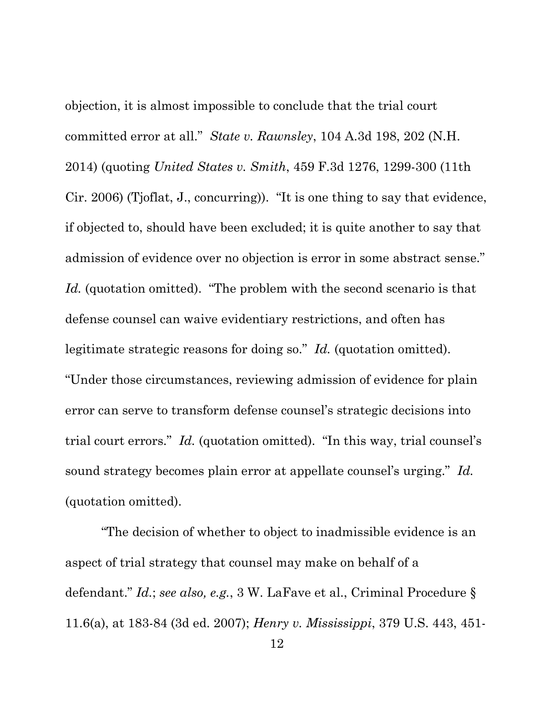objection, it is almost impossible to conclude that the trial court committed error at all." *State v. Rawnsley*, 104 A.3d 198, 202 (N.H. 2014) (quoting *United States v. Smith*, 459 F.3d 1276, 1299-300 (11th Cir. 2006) (Tjoflat, J., concurring)). "It is one thing to say that evidence, if objected to, should have been excluded; it is quite another to say that admission of evidence over no objection is error in some abstract sense." Id. (quotation omitted). "The problem with the second scenario is that defense counsel can waive evidentiary restrictions, and often has legitimate strategic reasons for doing so." *Id.* (quotation omitted). "Under those circumstances, reviewing admission of evidence for plain error can serve to transform defense counsel's strategic decisions into trial court errors." *Id.* (quotation omitted). "In this way, trial counsel's sound strategy becomes plain error at appellate counsel's urging." *Id.* (quotation omitted).

"The decision of whether to object to inadmissible evidence is an aspect of trial strategy that counsel may make on behalf of a defendant." *Id.*; *see also, e.g.*, 3 W. LaFave et al., Criminal Procedure § 11.6(a), at 183-84 (3d ed. 2007); *Henry v. Mississippi*, 379 U.S. 443, 451-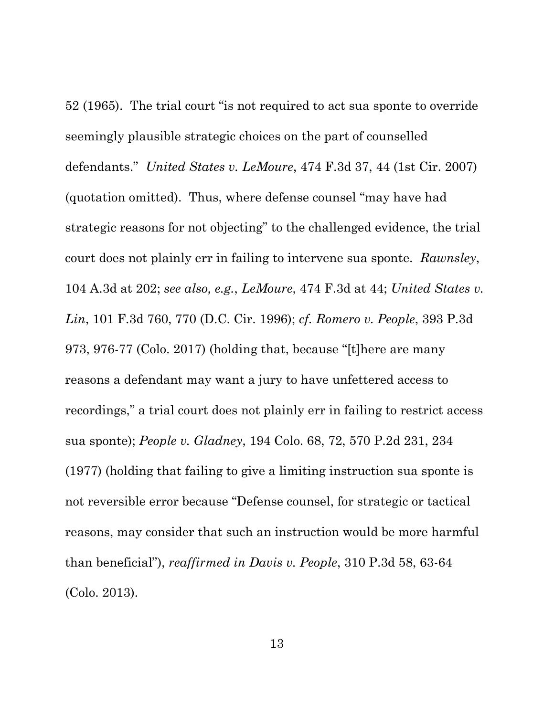52 (1965). The trial court "is not required to act sua sponte to override seemingly plausible strategic choices on the part of counselled defendants." *United States v. LeMoure*, 474 F.3d 37, 44 (1st Cir. 2007) (quotation omitted). Thus, where defense counsel "may have had strategic reasons for not objecting" to the challenged evidence, the trial court does not plainly err in failing to intervene sua sponte. *Rawnsley*, 104 A.3d at 202; *see also, e.g.*, *LeMoure*, 474 F.3d at 44; *United States v. Lin*, 101 F.3d 760, 770 (D.C. Cir. 1996); *cf. Romero v. People*, 393 P.3d 973, 976-77 (Colo. 2017) (holding that, because "[t]here are many reasons a defendant may want a jury to have unfettered access to recordings," a trial court does not plainly err in failing to restrict access sua sponte); *People v. Gladney*, 194 Colo. 68, 72, 570 P.2d 231, 234 (1977) (holding that failing to give a limiting instruction sua sponte is not reversible error because "Defense counsel, for strategic or tactical reasons, may consider that such an instruction would be more harmful than beneficial"), *reaffirmed in Davis v. People*, 310 P.3d 58, 63-64 (Colo. 2013).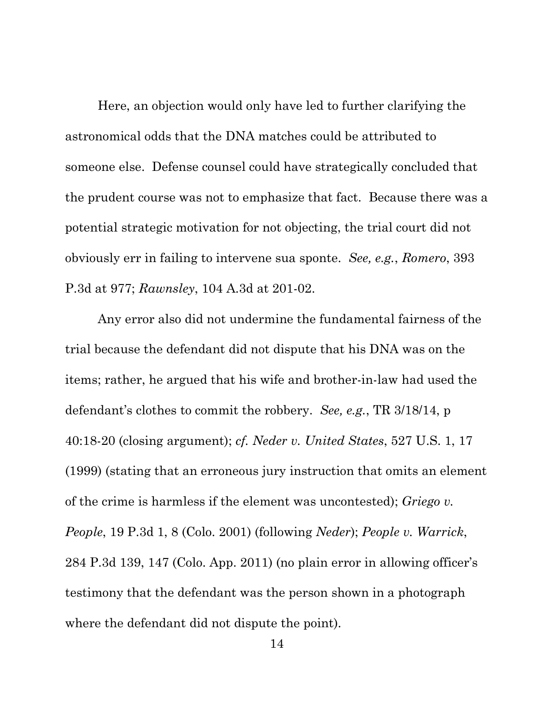Here, an objection would only have led to further clarifying the astronomical odds that the DNA matches could be attributed to someone else. Defense counsel could have strategically concluded that the prudent course was not to emphasize that fact. Because there was a potential strategic motivation for not objecting, the trial court did not obviously err in failing to intervene sua sponte. *See, e.g.*, *Romero*, 393 P.3d at 977; *Rawnsley*, 104 A.3d at 201-02.

Any error also did not undermine the fundamental fairness of the trial because the defendant did not dispute that his DNA was on the items; rather, he argued that his wife and brother-in-law had used the defendant's clothes to commit the robbery. *See, e.g.*, TR 3/18/14, p 40:18-20 (closing argument); *cf. Neder v. United States*, 527 U.S. 1, 17 (1999) (stating that an erroneous jury instruction that omits an element of the crime is harmless if the element was uncontested); *Griego v. People*, 19 P.3d 1, 8 (Colo. 2001) (following *Neder*); *People v. Warrick*, 284 P.3d 139, 147 (Colo. App. 2011) (no plain error in allowing officer's testimony that the defendant was the person shown in a photograph where the defendant did not dispute the point).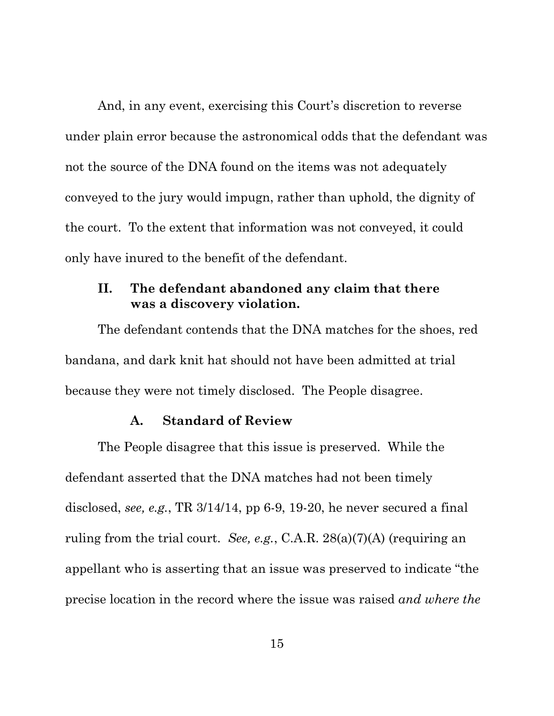And, in any event, exercising this Court's discretion to reverse under plain error because the astronomical odds that the defendant was not the source of the DNA found on the items was not adequately conveyed to the jury would impugn, rather than uphold, the dignity of the court. To the extent that information was not conveyed, it could only have inured to the benefit of the defendant.

## <span id="page-23-0"></span>**II. The defendant abandoned any claim that there was a discovery violation.**

The defendant contends that the DNA matches for the shoes, red bandana, and dark knit hat should not have been admitted at trial because they were not timely disclosed. The People disagree.

### **A. Standard of Review**

<span id="page-23-1"></span>The People disagree that this issue is preserved. While the defendant asserted that the DNA matches had not been timely disclosed, *see, e.g.*, TR 3/14/14, pp 6-9, 19-20, he never secured a final ruling from the trial court. *See, e.g.*, C.A.R. 28(a)(7)(A) (requiring an appellant who is asserting that an issue was preserved to indicate "the precise location in the record where the issue was raised *and where the*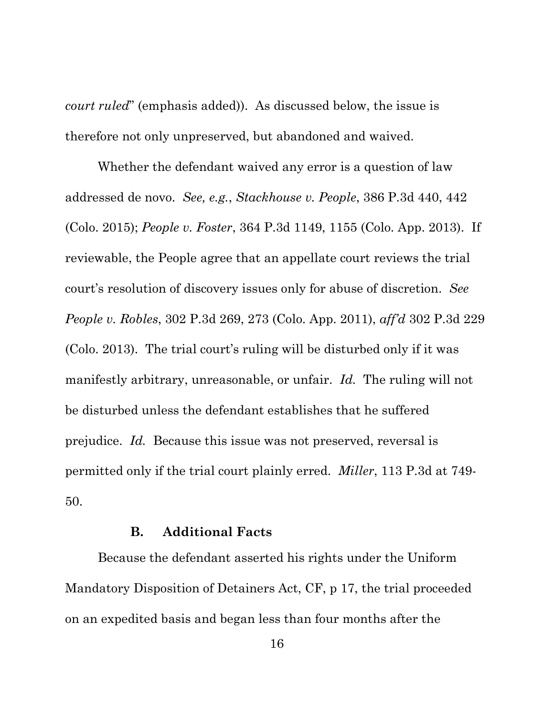*court ruled*" (emphasis added)). As discussed below, the issue is therefore not only unpreserved, but abandoned and waived.

Whether the defendant waived any error is a question of law addressed de novo. *See, e.g.*, *Stackhouse v. People*, 386 P.3d 440, 442 (Colo. 2015); *People v. Foster*, 364 P.3d 1149, 1155 (Colo. App. 2013). If reviewable, the People agree that an appellate court reviews the trial court's resolution of discovery issues only for abuse of discretion. *See People v. Robles*, 302 P.3d 269, 273 (Colo. App. 2011), *aff'd* 302 P.3d 229 (Colo. 2013). The trial court's ruling will be disturbed only if it was manifestly arbitrary, unreasonable, or unfair. *Id.* The ruling will not be disturbed unless the defendant establishes that he suffered prejudice. *Id.* Because this issue was not preserved, reversal is permitted only if the trial court plainly erred. *Miller*, 113 P.3d at 749- 50.

#### **B. Additional Facts**

<span id="page-24-0"></span>Because the defendant asserted his rights under the Uniform Mandatory Disposition of Detainers Act, CF, p 17, the trial proceeded on an expedited basis and began less than four months after the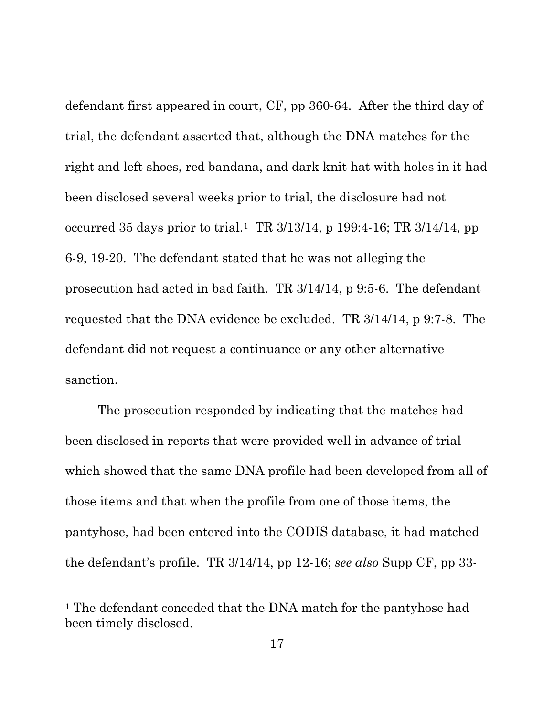defendant first appeared in court, CF, pp 360-64. After the third day of trial, the defendant asserted that, although the DNA matches for the right and left shoes, red bandana, and dark knit hat with holes in it had been disclosed several weeks prior to trial, the disclosure had not occurred 35 days prior to trial.<sup>[1](#page-25-0)</sup> TR  $3/13/14$ , p  $199:4$ -16; TR  $3/14/14$ , pp 6-9, 19-20. The defendant stated that he was not alleging the prosecution had acted in bad faith. TR 3/14/14, p 9:5-6. The defendant requested that the DNA evidence be excluded. TR 3/14/14, p 9:7-8. The defendant did not request a continuance or any other alternative sanction.

The prosecution responded by indicating that the matches had been disclosed in reports that were provided well in advance of trial which showed that the same DNA profile had been developed from all of those items and that when the profile from one of those items, the pantyhose, had been entered into the CODIS database, it had matched the defendant's profile. TR 3/14/14, pp 12-16; *see also* Supp CF, pp 33-

l

<span id="page-25-0"></span><sup>&</sup>lt;sup>1</sup> The defendant conceded that the DNA match for the pantyhose had been timely disclosed.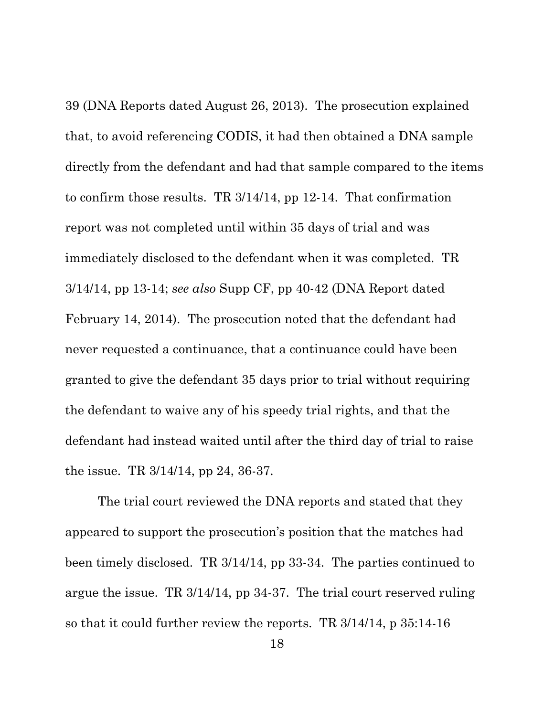39 (DNA Reports dated August 26, 2013). The prosecution explained that, to avoid referencing CODIS, it had then obtained a DNA sample directly from the defendant and had that sample compared to the items to confirm those results. TR 3/14/14, pp 12-14. That confirmation report was not completed until within 35 days of trial and was immediately disclosed to the defendant when it was completed. TR 3/14/14, pp 13-14; *see also* Supp CF, pp 40-42 (DNA Report dated February 14, 2014). The prosecution noted that the defendant had never requested a continuance, that a continuance could have been granted to give the defendant 35 days prior to trial without requiring the defendant to waive any of his speedy trial rights, and that the defendant had instead waited until after the third day of trial to raise the issue. TR 3/14/14, pp 24, 36-37.

The trial court reviewed the DNA reports and stated that they appeared to support the prosecution's position that the matches had been timely disclosed. TR 3/14/14, pp 33-34. The parties continued to argue the issue. TR 3/14/14, pp 34-37. The trial court reserved ruling so that it could further review the reports. TR 3/14/14, p 35:14-16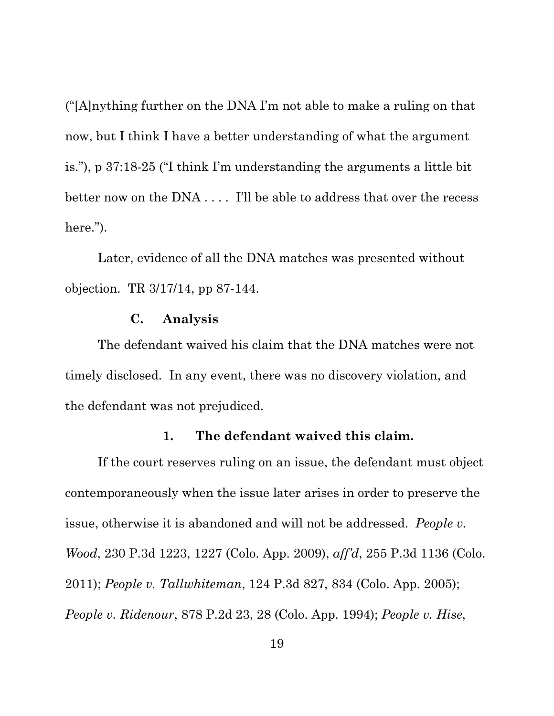("[A]nything further on the DNA I'm not able to make a ruling on that now, but I think I have a better understanding of what the argument is."), p 37:18-25 ("I think I'm understanding the arguments a little bit better now on the DNA . . . . I'll be able to address that over the recess here.").

Later, evidence of all the DNA matches was presented without objection. TR 3/17/14, pp 87-144.

### **C. Analysis**

<span id="page-27-0"></span>The defendant waived his claim that the DNA matches were not timely disclosed. In any event, there was no discovery violation, and the defendant was not prejudiced.

### **1. The defendant waived this claim.**

<span id="page-27-1"></span>If the court reserves ruling on an issue, the defendant must object contemporaneously when the issue later arises in order to preserve the issue, otherwise it is abandoned and will not be addressed. *People v. Wood*, 230 P.3d 1223, 1227 (Colo. App. 2009), *aff'd*, 255 P.3d 1136 (Colo. 2011); *People v. Tallwhiteman*, 124 P.3d 827, 834 (Colo. App. 2005); *People v. Ridenour*, 878 P.2d 23, 28 (Colo. App. 1994); *People v. Hise*,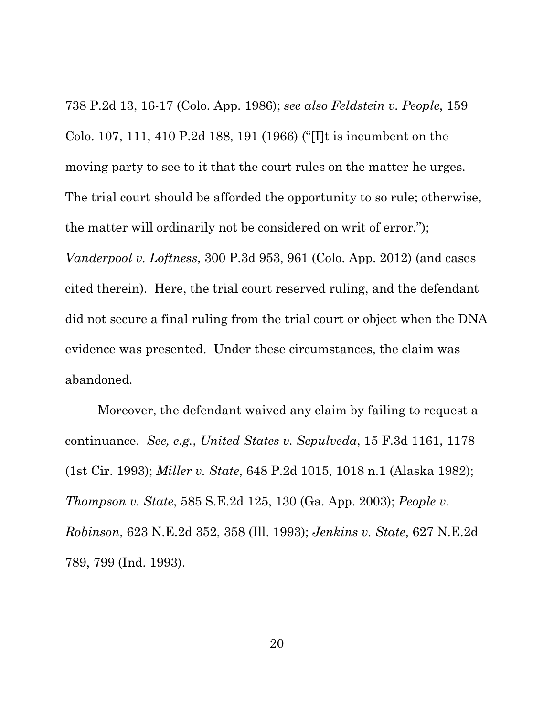738 P.2d 13, 16-17 (Colo. App. 1986); *see also Feldstein v. People*, 159 Colo. 107, 111, 410 P.2d 188, 191 (1966) ("[I]t is incumbent on the moving party to see to it that the court rules on the matter he urges. The trial court should be afforded the opportunity to so rule; otherwise, the matter will ordinarily not be considered on writ of error."); *Vanderpool v. Loftness*, 300 P.3d 953, 961 (Colo. App. 2012) (and cases cited therein). Here, the trial court reserved ruling, and the defendant did not secure a final ruling from the trial court or object when the DNA evidence was presented. Under these circumstances, the claim was abandoned.

Moreover, the defendant waived any claim by failing to request a continuance. *See, e.g.*, *United States v. Sepulveda*, 15 F.3d 1161, 1178 (1st Cir. 1993); *Miller v. State*, 648 P.2d 1015, 1018 n.1 (Alaska 1982); *Thompson v. State*, 585 S.E.2d 125, 130 (Ga. App. 2003); *People v. Robinson*, 623 N.E.2d 352, 358 (Ill. 1993); *Jenkins v. State*, 627 N.E.2d 789, 799 (Ind. 1993).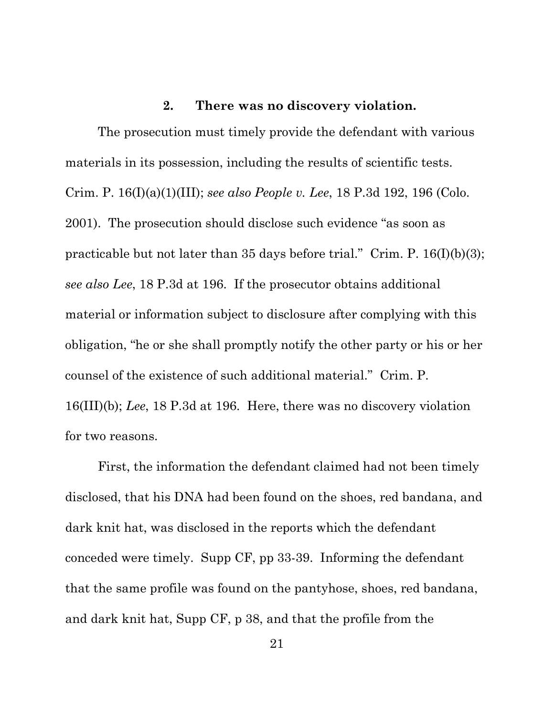### **2. There was no discovery violation.**

<span id="page-29-0"></span>The prosecution must timely provide the defendant with various materials in its possession, including the results of scientific tests. Crim. P. 16(I)(a)(1)(III); *see also People v. Lee*, 18 P.3d 192, 196 (Colo. 2001). The prosecution should disclose such evidence "as soon as practicable but not later than 35 days before trial." Crim. P.  $16(I)(b)(3)$ ; *see also Lee*, 18 P.3d at 196. If the prosecutor obtains additional material or information subject to disclosure after complying with this obligation, "he or she shall promptly notify the other party or his or her counsel of the existence of such additional material." Crim. P. 16(III)(b); *Lee*, 18 P.3d at 196. Here, there was no discovery violation for two reasons.

First, the information the defendant claimed had not been timely disclosed, that his DNA had been found on the shoes, red bandana, and dark knit hat, was disclosed in the reports which the defendant conceded were timely. Supp CF, pp 33-39. Informing the defendant that the same profile was found on the pantyhose, shoes, red bandana, and dark knit hat, Supp CF, p 38, and that the profile from the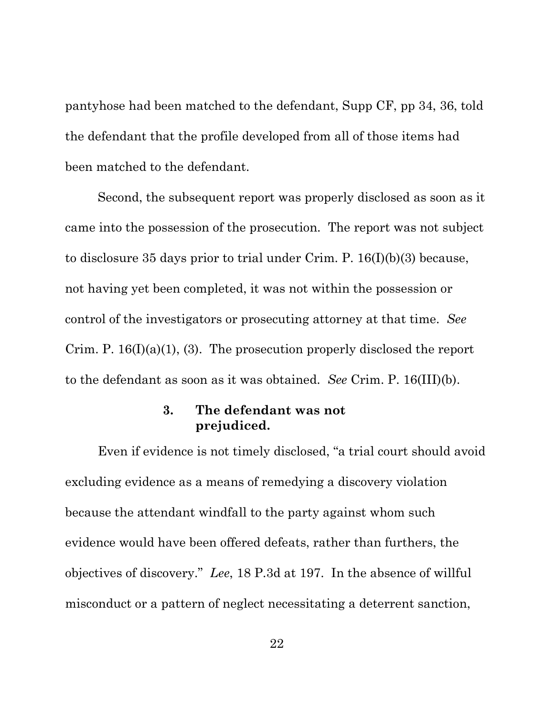pantyhose had been matched to the defendant, Supp CF, pp 34, 36, told the defendant that the profile developed from all of those items had been matched to the defendant.

Second, the subsequent report was properly disclosed as soon as it came into the possession of the prosecution. The report was not subject to disclosure 35 days prior to trial under Crim. P. 16(I)(b)(3) because, not having yet been completed, it was not within the possession or control of the investigators or prosecuting attorney at that time. *See* Crim. P.  $16(I)(a)(1)$ , (3). The prosecution properly disclosed the report to the defendant as soon as it was obtained. *See* Crim. P. 16(III)(b).

## **3. The defendant was not prejudiced.**

<span id="page-30-0"></span>Even if evidence is not timely disclosed, "a trial court should avoid excluding evidence as a means of remedying a discovery violation because the attendant windfall to the party against whom such evidence would have been offered defeats, rather than furthers, the objectives of discovery." *Lee*, 18 P.3d at 197. In the absence of willful misconduct or a pattern of neglect necessitating a deterrent sanction,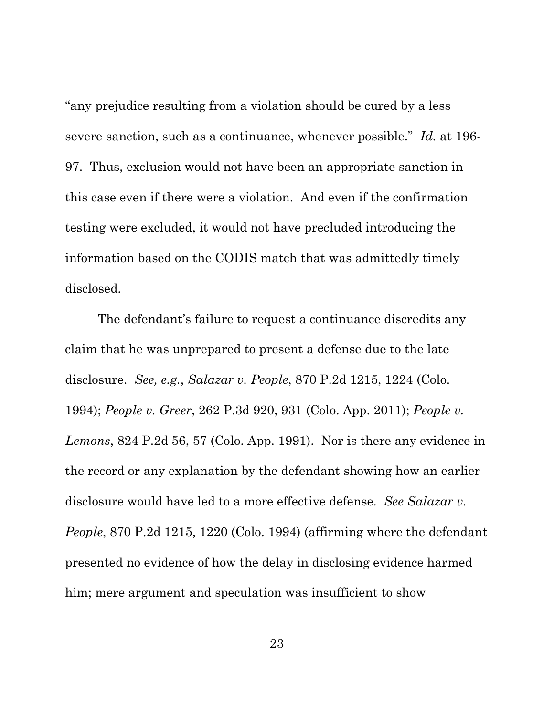"any prejudice resulting from a violation should be cured by a less severe sanction, such as a continuance, whenever possible." *Id.* at 196- 97. Thus, exclusion would not have been an appropriate sanction in this case even if there were a violation. And even if the confirmation testing were excluded, it would not have precluded introducing the information based on the CODIS match that was admittedly timely disclosed.

The defendant's failure to request a continuance discredits any claim that he was unprepared to present a defense due to the late disclosure. *See, e.g.*, *Salazar v. People*, 870 P.2d 1215, 1224 (Colo. 1994); *People v. Greer*, 262 P.3d 920, 931 (Colo. App. 2011); *People v. Lemons*, 824 P.2d 56, 57 (Colo. App. 1991). Nor is there any evidence in the record or any explanation by the defendant showing how an earlier disclosure would have led to a more effective defense. *See Salazar v. People*, 870 P.2d 1215, 1220 (Colo. 1994) (affirming where the defendant presented no evidence of how the delay in disclosing evidence harmed him; mere argument and speculation was insufficient to show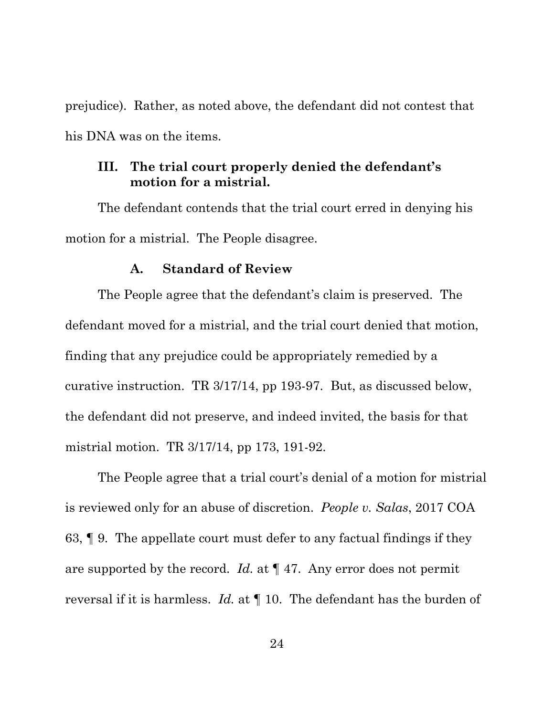prejudice). Rather, as noted above, the defendant did not contest that his DNA was on the items.

### <span id="page-32-0"></span>**III. The trial court properly denied the defendant's motion for a mistrial.**

The defendant contends that the trial court erred in denying his motion for a mistrial. The People disagree.

### **A. Standard of Review**

<span id="page-32-1"></span>The People agree that the defendant's claim is preserved. The defendant moved for a mistrial, and the trial court denied that motion, finding that any prejudice could be appropriately remedied by a curative instruction. TR 3/17/14, pp 193-97. But, as discussed below, the defendant did not preserve, and indeed invited, the basis for that mistrial motion. TR 3/17/14, pp 173, 191-92.

The People agree that a trial court's denial of a motion for mistrial is reviewed only for an abuse of discretion. *People v. Salas*, 2017 COA 63, ¶ 9. The appellate court must defer to any factual findings if they are supported by the record. *Id.* at ¶ 47. Any error does not permit reversal if it is harmless. *Id.* at ¶ 10. The defendant has the burden of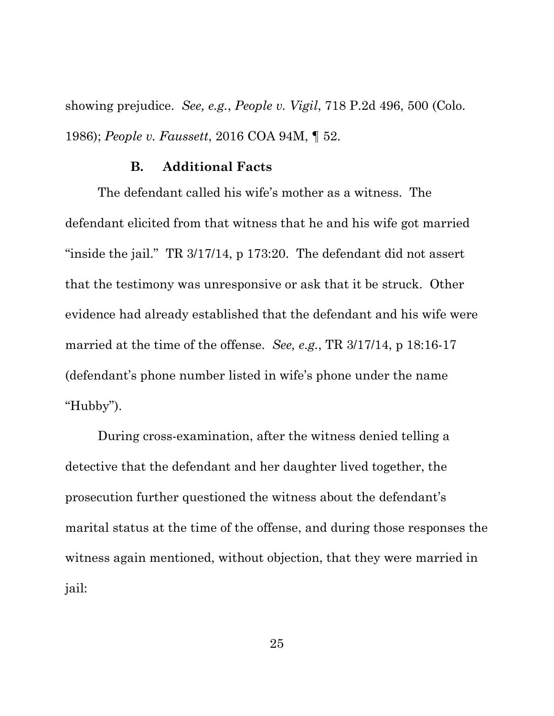showing prejudice. *See, e.g.*, *People v. Vigil*, 718 P.2d 496, 500 (Colo. 1986); *People v. Faussett*, 2016 COA 94M, ¶ 52.

### **B. Additional Facts**

<span id="page-33-0"></span>The defendant called his wife's mother as a witness. The defendant elicited from that witness that he and his wife got married "inside the jail." TR 3/17/14, p 173:20. The defendant did not assert that the testimony was unresponsive or ask that it be struck. Other evidence had already established that the defendant and his wife were married at the time of the offense. *See, e.g.*, TR 3/17/14, p 18:16-17 (defendant's phone number listed in wife's phone under the name "Hubby").

During cross-examination, after the witness denied telling a detective that the defendant and her daughter lived together, the prosecution further questioned the witness about the defendant's marital status at the time of the offense, and during those responses the witness again mentioned, without objection, that they were married in jail: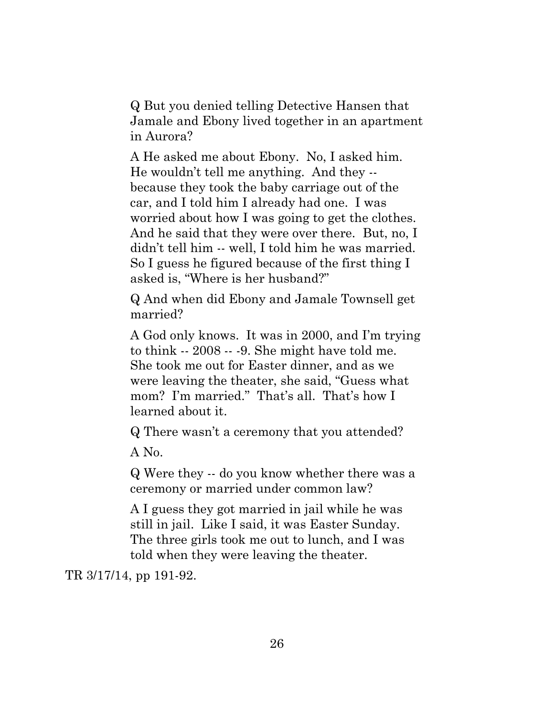Q But you denied telling Detective Hansen that Jamale and Ebony lived together in an apartment in Aurora?

A He asked me about Ebony. No, I asked him. He wouldn't tell me anything. And they - because they took the baby carriage out of the car, and I told him I already had one. I was worried about how I was going to get the clothes. And he said that they were over there. But, no, I didn't tell him -- well, I told him he was married. So I guess he figured because of the first thing I asked is, "Where is her husband?"

Q And when did Ebony and Jamale Townsell get married?

A God only knows. It was in 2000, and I'm trying to think -- 2008 -- -9. She might have told me. She took me out for Easter dinner, and as we were leaving the theater, she said, "Guess what mom? I'm married." That's all. That's how I learned about it.

Q There wasn't a ceremony that you attended?

A No.

Q Were they -- do you know whether there was a ceremony or married under common law?

A I guess they got married in jail while he was still in jail. Like I said, it was Easter Sunday. The three girls took me out to lunch, and I was told when they were leaving the theater.

TR 3/17/14, pp 191-92.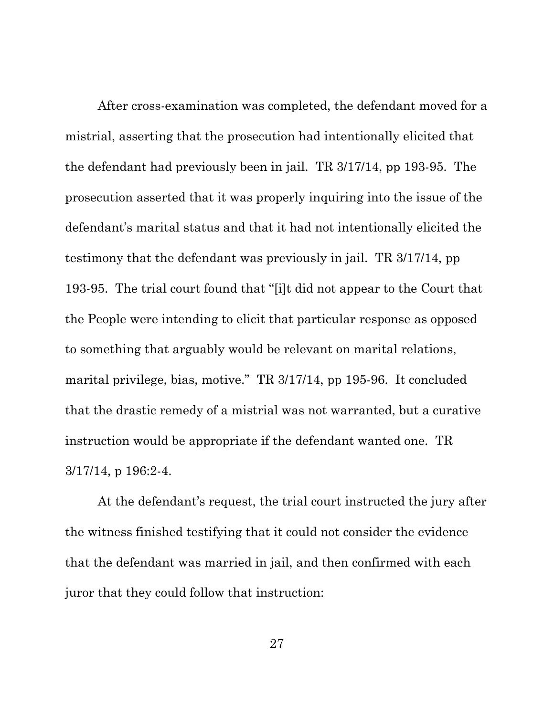After cross-examination was completed, the defendant moved for a mistrial, asserting that the prosecution had intentionally elicited that the defendant had previously been in jail. TR 3/17/14, pp 193-95. The prosecution asserted that it was properly inquiring into the issue of the defendant's marital status and that it had not intentionally elicited the testimony that the defendant was previously in jail. TR 3/17/14, pp 193-95. The trial court found that "[i]t did not appear to the Court that the People were intending to elicit that particular response as opposed to something that arguably would be relevant on marital relations, marital privilege, bias, motive." TR 3/17/14, pp 195-96. It concluded that the drastic remedy of a mistrial was not warranted, but a curative instruction would be appropriate if the defendant wanted one. TR 3/17/14, p 196:2-4.

At the defendant's request, the trial court instructed the jury after the witness finished testifying that it could not consider the evidence that the defendant was married in jail, and then confirmed with each juror that they could follow that instruction: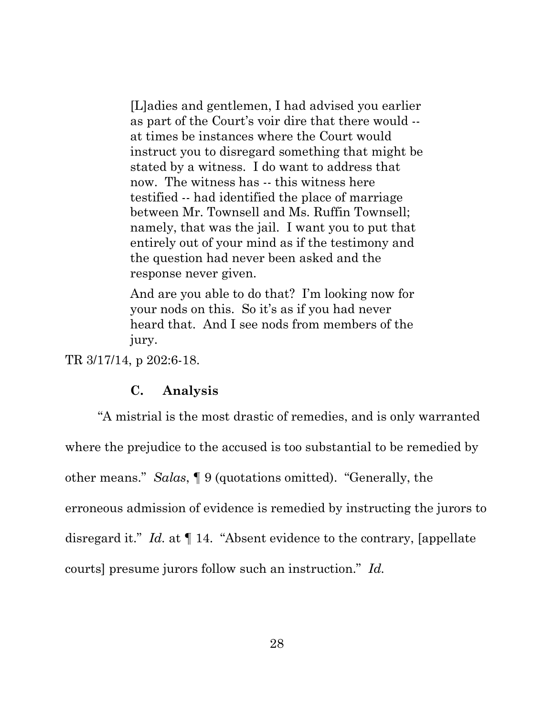[L]adies and gentlemen, I had advised you earlier as part of the Court's voir dire that there would - at times be instances where the Court would instruct you to disregard something that might be stated by a witness. I do want to address that now. The witness has -- this witness here testified -- had identified the place of marriage between Mr. Townsell and Ms. Ruffin Townsell; namely, that was the jail. I want you to put that entirely out of your mind as if the testimony and the question had never been asked and the response never given.

And are you able to do that? I'm looking now for your nods on this. So it's as if you had never heard that. And I see nods from members of the jury.

<span id="page-36-0"></span>TR 3/17/14, p 202:6-18.

### **C. Analysis**

"A mistrial is the most drastic of remedies, and is only warranted where the prejudice to the accused is too substantial to be remedied by other means." *Salas*, ¶ 9 (quotations omitted). "Generally, the erroneous admission of evidence is remedied by instructing the jurors to disregard it." *Id.* at ¶ 14. "Absent evidence to the contrary, [appellate courts] presume jurors follow such an instruction." *Id.*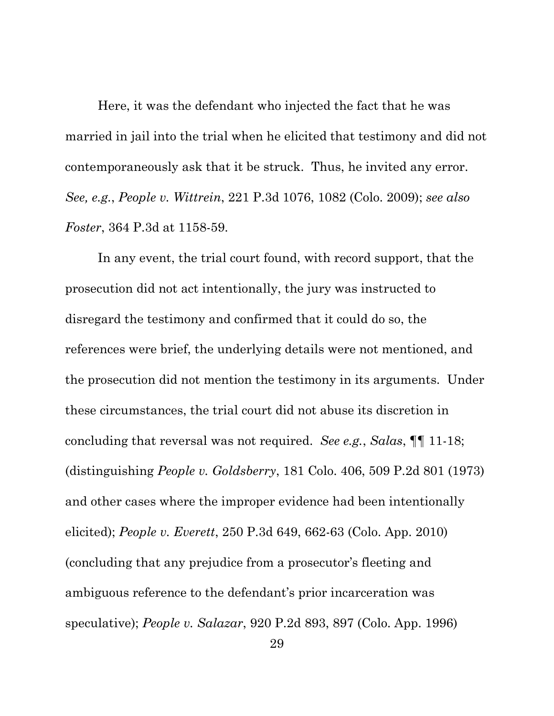Here, it was the defendant who injected the fact that he was married in jail into the trial when he elicited that testimony and did not contemporaneously ask that it be struck. Thus, he invited any error. *See, e.g.*, *People v. Wittrein*, 221 P.3d 1076, 1082 (Colo. 2009); *see also Foster*, 364 P.3d at 1158-59.

In any event, the trial court found, with record support, that the prosecution did not act intentionally, the jury was instructed to disregard the testimony and confirmed that it could do so, the references were brief, the underlying details were not mentioned, and the prosecution did not mention the testimony in its arguments. Under these circumstances, the trial court did not abuse its discretion in concluding that reversal was not required. *See e.g.*, *Salas*, ¶¶ 11-18; (distinguishing *People v. Goldsberry*, 181 Colo. 406, 509 P.2d 801 (1973) and other cases where the improper evidence had been intentionally elicited); *People v. Everett*, 250 P.3d 649, 662-63 (Colo. App. 2010) (concluding that any prejudice from a prosecutor's fleeting and ambiguous reference to the defendant's prior incarceration was speculative); *People v. Salazar*, 920 P.2d 893, 897 (Colo. App. 1996)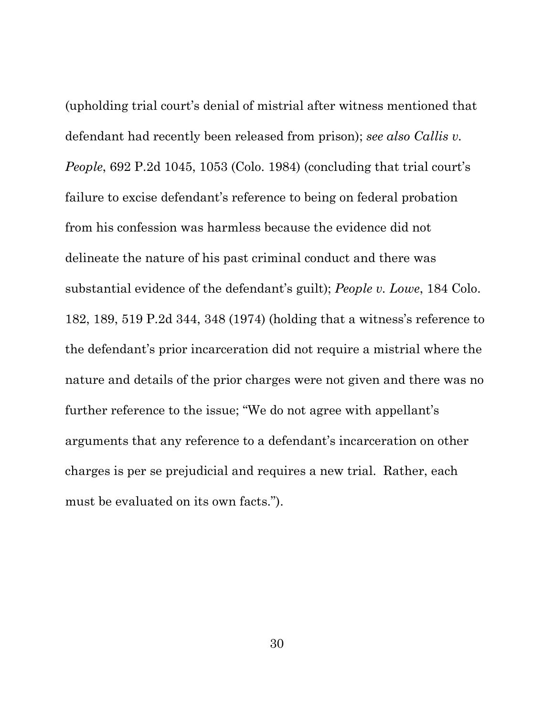(upholding trial court's denial of mistrial after witness mentioned that defendant had recently been released from prison); *see also Callis v. People*, 692 P.2d 1045, 1053 (Colo. 1984) (concluding that trial court's failure to excise defendant's reference to being on federal probation from his confession was harmless because the evidence did not delineate the nature of his past criminal conduct and there was substantial evidence of the defendant's guilt); *People v. Lowe*, 184 Colo. 182, 189, 519 P.2d 344, 348 (1974) (holding that a witness's reference to the defendant's prior incarceration did not require a mistrial where the nature and details of the prior charges were not given and there was no further reference to the issue; "We do not agree with appellant's arguments that any reference to a defendant's incarceration on other charges is per se prejudicial and requires a new trial. Rather, each must be evaluated on its own facts.").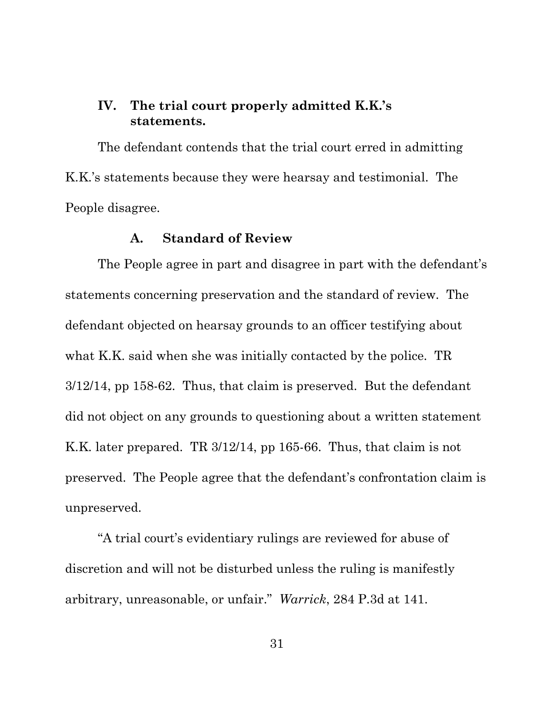# <span id="page-39-0"></span>**IV. The trial court properly admitted K.K.'s statements.**

The defendant contends that the trial court erred in admitting K.K.'s statements because they were hearsay and testimonial. The People disagree.

### **A. Standard of Review**

<span id="page-39-1"></span>The People agree in part and disagree in part with the defendant's statements concerning preservation and the standard of review. The defendant objected on hearsay grounds to an officer testifying about what K.K. said when she was initially contacted by the police. TR 3/12/14, pp 158-62. Thus, that claim is preserved. But the defendant did not object on any grounds to questioning about a written statement K.K. later prepared. TR 3/12/14, pp 165-66. Thus, that claim is not preserved. The People agree that the defendant's confrontation claim is unpreserved.

"A trial court's evidentiary rulings are reviewed for abuse of discretion and will not be disturbed unless the ruling is manifestly arbitrary, unreasonable, or unfair." *Warrick*, 284 P.3d at 141.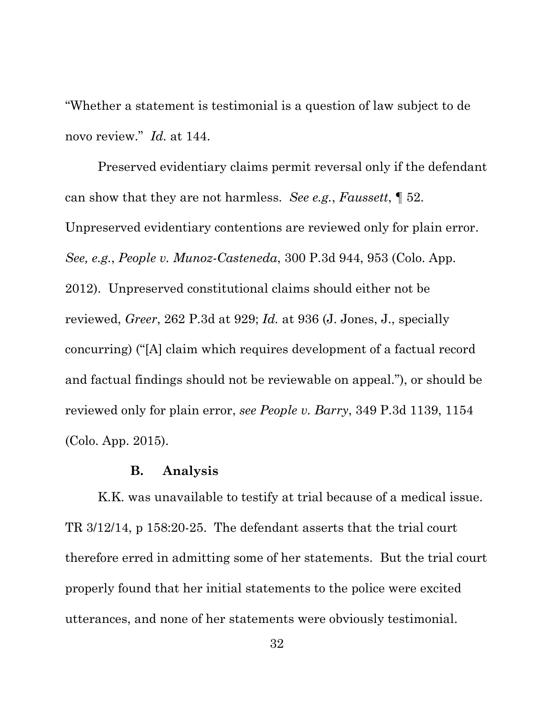"Whether a statement is testimonial is a question of law subject to de novo review." *Id.* at 144.

Preserved evidentiary claims permit reversal only if the defendant can show that they are not harmless. *See e.g.*, *Faussett*, ¶ 52. Unpreserved evidentiary contentions are reviewed only for plain error. *See, e.g.*, *People v. Munoz-Casteneda*, 300 P.3d 944, 953 (Colo. App. 2012). Unpreserved constitutional claims should either not be reviewed, *Greer*, 262 P.3d at 929; *Id.* at 936 (J. Jones, J., specially concurring) ("[A] claim which requires development of a factual record and factual findings should not be reviewable on appeal."), or should be reviewed only for plain error, *see People v. Barry*, 349 P.3d 1139, 1154 (Colo. App. 2015).

#### **B. Analysis**

<span id="page-40-0"></span>K.K. was unavailable to testify at trial because of a medical issue. TR 3/12/14, p 158:20-25. The defendant asserts that the trial court therefore erred in admitting some of her statements. But the trial court properly found that her initial statements to the police were excited utterances, and none of her statements were obviously testimonial.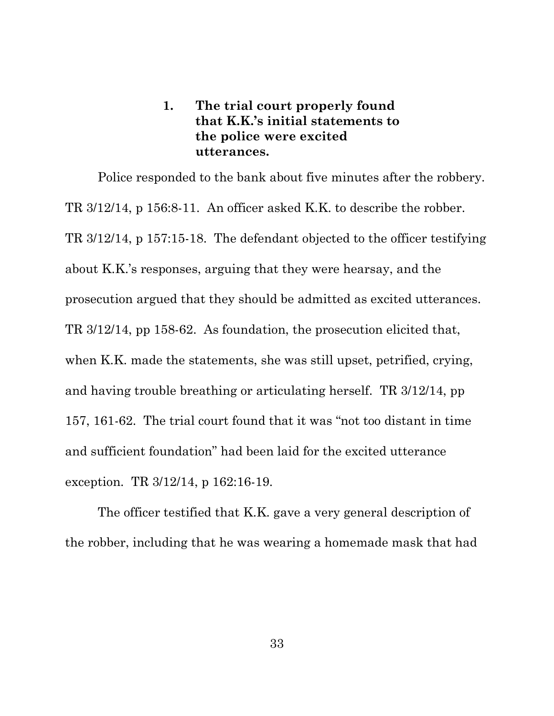# **1. The trial court properly found that K.K.'s initial statements to the police were excited utterances.**

<span id="page-41-0"></span>Police responded to the bank about five minutes after the robbery. TR 3/12/14, p 156:8-11. An officer asked K.K. to describe the robber. TR 3/12/14, p 157:15-18. The defendant objected to the officer testifying about K.K.'s responses, arguing that they were hearsay, and the prosecution argued that they should be admitted as excited utterances. TR 3/12/14, pp 158-62. As foundation, the prosecution elicited that, when K.K. made the statements, she was still upset, petrified, crying, and having trouble breathing or articulating herself. TR 3/12/14, pp 157, 161-62. The trial court found that it was "not too distant in time and sufficient foundation" had been laid for the excited utterance exception. TR 3/12/14, p 162:16-19.

The officer testified that K.K. gave a very general description of the robber, including that he was wearing a homemade mask that had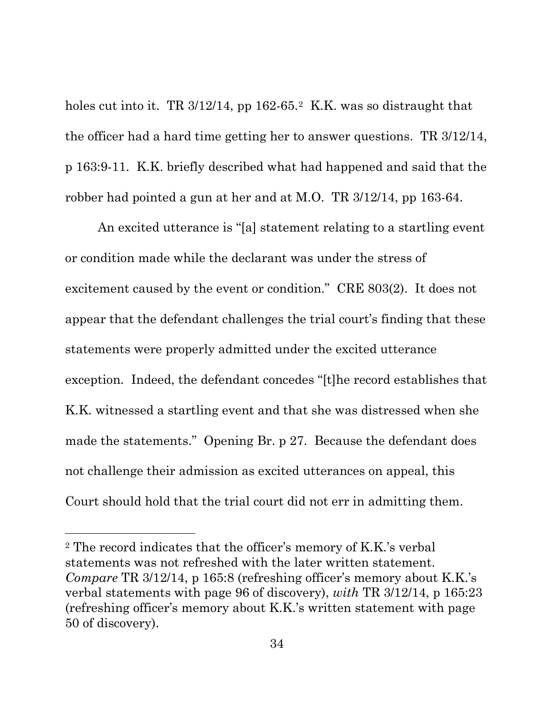holes cut into it. TR 3/1[2](#page-42-0)/14, pp 162-65.<sup>2</sup> K.K. was so distraught that the officer had a hard time getting her to answer questions. TR 3/12/14, p 163:9-11. K.K. briefly described what had happened and said that the robber had pointed a gun at her and at M.O. TR 3/12/14, pp 163-64.

An excited utterance is "[a] statement relating to a startling event or condition made while the declarant was under the stress of excitement caused by the event or condition." CRE 803(2). It does not appear that the defendant challenges the trial court's finding that these statements were properly admitted under the excited utterance exception. Indeed, the defendant concedes "[t]he record establishes that K.K. witnessed a startling event and that she was distressed when she made the statements." Opening Br. p 27. Because the defendant does not challenge their admission as excited utterances on appeal, this Court should hold that the trial court did not err in admitting them.

 $\overline{a}$ 

<span id="page-42-0"></span><sup>2</sup> The record indicates that the officer's memory of K.K.'s verbal statements was not refreshed with the later written statement. *Compare* TR 3/12/14, p 165:8 (refreshing officer's memory about K.K.'s verbal statements with page 96 of discovery), *with* TR 3/12/14, p 165:23 (refreshing officer's memory about K.K.'s written statement with page 50 of discovery).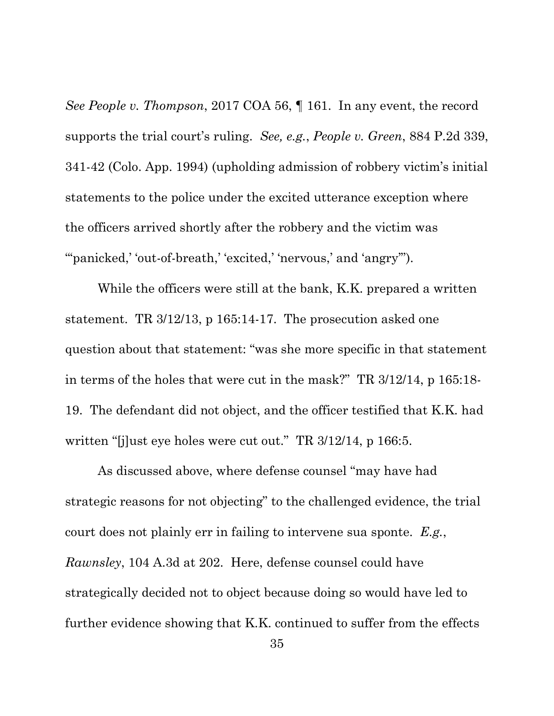*See People v. Thompson*, 2017 COA 56, ¶ 161. In any event, the record supports the trial court's ruling. *See, e.g.*, *People v. Green*, 884 P.2d 339, 341-42 (Colo. App. 1994) (upholding admission of robbery victim's initial statements to the police under the excited utterance exception where the officers arrived shortly after the robbery and the victim was ""panicked,' 'out-of-breath,' 'excited,' 'nervous,' and 'angry"').

While the officers were still at the bank, K.K. prepared a written statement. TR 3/12/13, p 165:14-17. The prosecution asked one question about that statement: "was she more specific in that statement in terms of the holes that were cut in the mask?" TR 3/12/14, p 165:18- 19. The defendant did not object, and the officer testified that K.K. had written "[j]ust eye holes were cut out." TR 3/12/14, p 166:5.

As discussed above, where defense counsel "may have had strategic reasons for not objecting" to the challenged evidence, the trial court does not plainly err in failing to intervene sua sponte. *E.g.*, *Rawnsley*, 104 A.3d at 202. Here, defense counsel could have strategically decided not to object because doing so would have led to further evidence showing that K.K. continued to suffer from the effects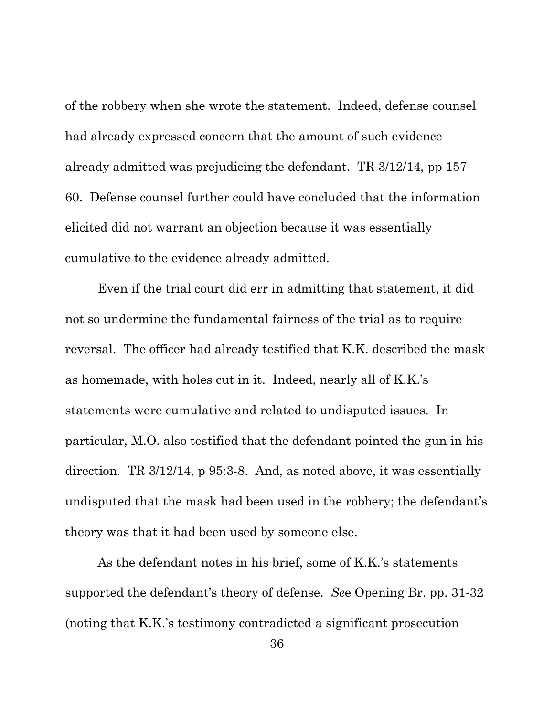of the robbery when she wrote the statement. Indeed, defense counsel had already expressed concern that the amount of such evidence already admitted was prejudicing the defendant. TR 3/12/14, pp 157- 60. Defense counsel further could have concluded that the information elicited did not warrant an objection because it was essentially cumulative to the evidence already admitted.

Even if the trial court did err in admitting that statement, it did not so undermine the fundamental fairness of the trial as to require reversal. The officer had already testified that K.K. described the mask as homemade, with holes cut in it. Indeed, nearly all of K.K.'s statements were cumulative and related to undisputed issues. In particular, M.O. also testified that the defendant pointed the gun in his direction. TR 3/12/14, p 95:3-8. And, as noted above, it was essentially undisputed that the mask had been used in the robbery; the defendant's theory was that it had been used by someone else.

As the defendant notes in his brief, some of K.K.'s statements supported the defendant's theory of defense. *Se*e Opening Br. pp. 31-32 (noting that K.K.'s testimony contradicted a significant prosecution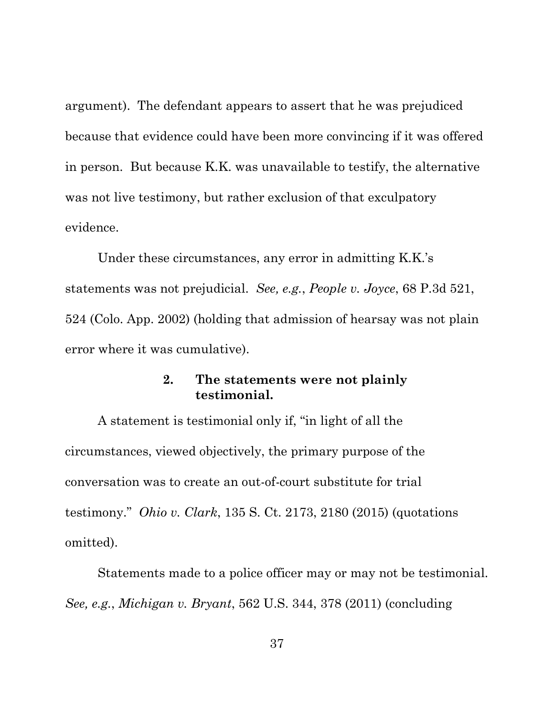argument). The defendant appears to assert that he was prejudiced because that evidence could have been more convincing if it was offered in person. But because K.K. was unavailable to testify, the alternative was not live testimony, but rather exclusion of that exculpatory evidence.

Under these circumstances, any error in admitting K.K.'s statements was not prejudicial. *See, e.g.*, *People v. Joyce*, 68 P.3d 521, 524 (Colo. App. 2002) (holding that admission of hearsay was not plain error where it was cumulative).

## **2. The statements were not plainly testimonial.**

<span id="page-45-0"></span>A statement is testimonial only if, "in light of all the circumstances, viewed objectively, the primary purpose of the conversation was to create an out-of-court substitute for trial testimony." *Ohio v. Clark*, 135 S. Ct. 2173, 2180 (2015) (quotations omitted).

Statements made to a police officer may or may not be testimonial. *See, e.g.*, *Michigan v. Bryant*, 562 U.S. 344, 378 (2011) (concluding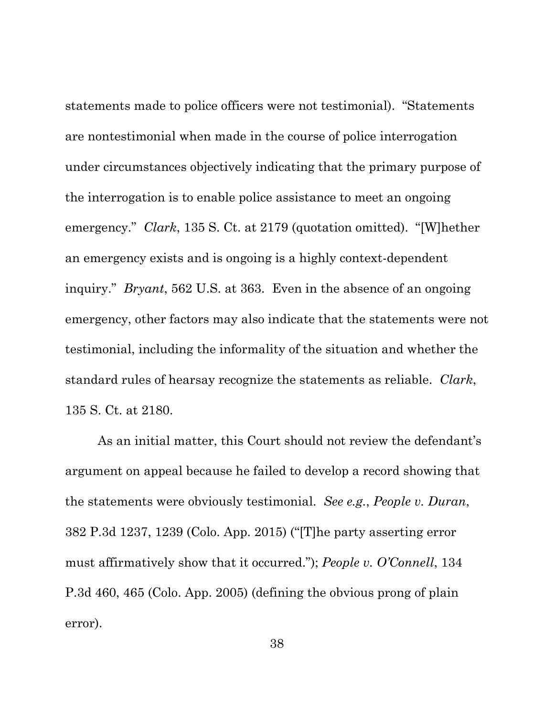statements made to police officers were not testimonial). "Statements are nontestimonial when made in the course of police interrogation under circumstances objectively indicating that the primary purpose of the interrogation is to enable police assistance to meet an ongoing emergency." *Clark*, 135 S. Ct. at 2179 (quotation omitted). "[W]hether an emergency exists and is ongoing is a highly context-dependent inquiry." *Bryant*, 562 U.S. at 363. Even in the absence of an ongoing emergency, other factors may also indicate that the statements were not testimonial, including the informality of the situation and whether the standard rules of hearsay recognize the statements as reliable. *Clark*, 135 S. Ct. at 2180.

As an initial matter, this Court should not review the defendant's argument on appeal because he failed to develop a record showing that the statements were obviously testimonial. *See e.g.*, *People v. Duran*, 382 P.3d 1237, 1239 (Colo. App. 2015) ("[T]he party asserting error must affirmatively show that it occurred."); *People v. O'Connell*, 134 P.3d 460, 465 (Colo. App. 2005) (defining the obvious prong of plain error).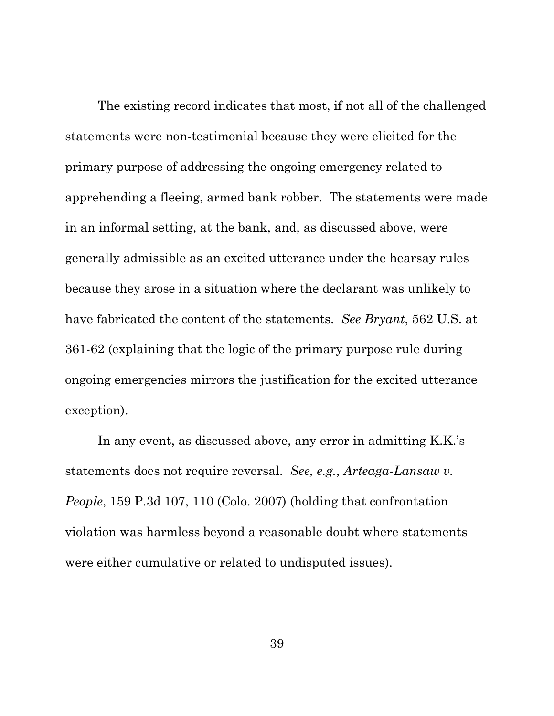The existing record indicates that most, if not all of the challenged statements were non-testimonial because they were elicited for the primary purpose of addressing the ongoing emergency related to apprehending a fleeing, armed bank robber. The statements were made in an informal setting, at the bank, and, as discussed above, were generally admissible as an excited utterance under the hearsay rules because they arose in a situation where the declarant was unlikely to have fabricated the content of the statements. *See Bryant*, 562 U.S. at 361-62 (explaining that the logic of the primary purpose rule during ongoing emergencies mirrors the justification for the excited utterance exception).

In any event, as discussed above, any error in admitting K.K.'s statements does not require reversal. *See, e.g.*, *Arteaga-Lansaw v. People*, 159 P.3d 107, 110 (Colo. 2007) (holding that confrontation violation was harmless beyond a reasonable doubt where statements were either cumulative or related to undisputed issues).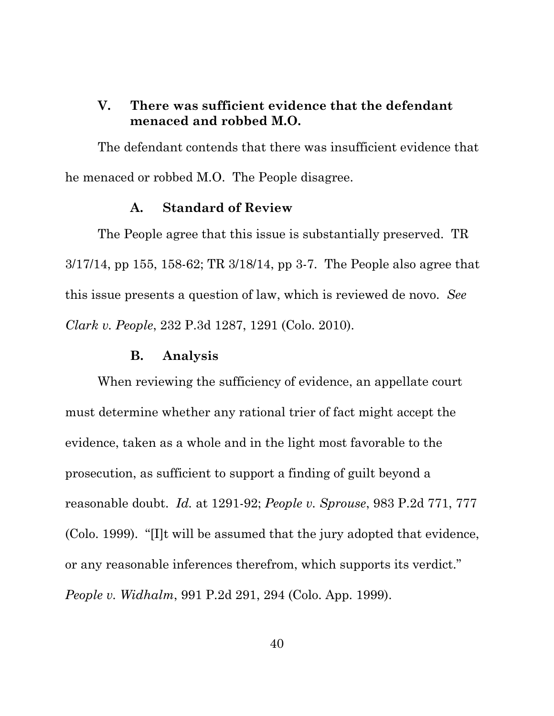## <span id="page-48-0"></span>**V. There was sufficient evidence that the defendant menaced and robbed M.O.**

The defendant contends that there was insufficient evidence that he menaced or robbed M.O. The People disagree.

### **A. Standard of Review**

<span id="page-48-1"></span>The People agree that this issue is substantially preserved. TR 3/17/14, pp 155, 158-62; TR 3/18/14, pp 3-7. The People also agree that this issue presents a question of law, which is reviewed de novo. *See Clark v. People*, 232 P.3d 1287, 1291 (Colo. 2010).

### **B. Analysis**

<span id="page-48-2"></span>When reviewing the sufficiency of evidence, an appellate court must determine whether any rational trier of fact might accept the evidence, taken as a whole and in the light most favorable to the prosecution, as sufficient to support a finding of guilt beyond a reasonable doubt. *Id.* at 1291-92; *People v. Sprouse*, 983 P.2d 771, 777 (Colo. 1999). "[I]t will be assumed that the jury adopted that evidence, or any reasonable inferences therefrom, which supports its verdict." *People v. Widhalm*, 991 P.2d 291, 294 (Colo. App. 1999).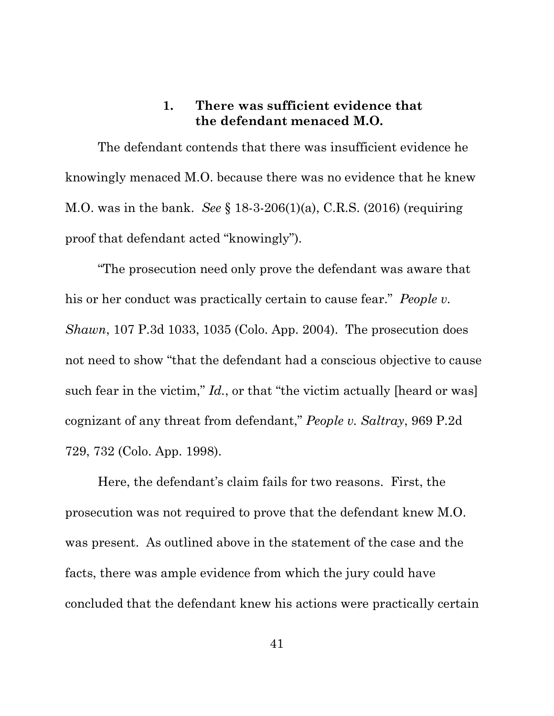## **1. There was sufficient evidence that the defendant menaced M.O.**

<span id="page-49-0"></span>The defendant contends that there was insufficient evidence he knowingly menaced M.O. because there was no evidence that he knew M.O. was in the bank. *See* § 18-3-206(1)(a), C.R.S. (2016) (requiring proof that defendant acted "knowingly").

"The prosecution need only prove the defendant was aware that his or her conduct was practically certain to cause fear." *People v. Shawn*, 107 P.3d 1033, 1035 (Colo. App. 2004). The prosecution does not need to show "that the defendant had a conscious objective to cause such fear in the victim," *Id.*, or that "the victim actually [heard or was] cognizant of any threat from defendant," *People v. Saltray*, 969 P.2d 729, 732 (Colo. App. 1998).

Here, the defendant's claim fails for two reasons. First, the prosecution was not required to prove that the defendant knew M.O. was present. As outlined above in the statement of the case and the facts, there was ample evidence from which the jury could have concluded that the defendant knew his actions were practically certain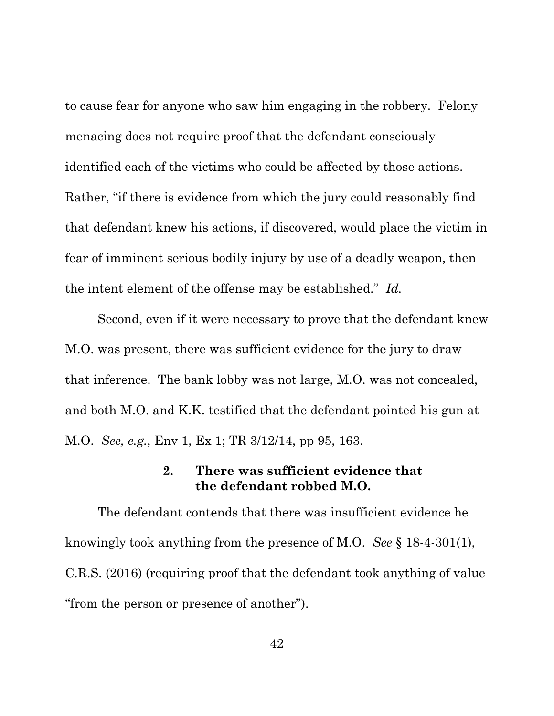to cause fear for anyone who saw him engaging in the robbery. Felony menacing does not require proof that the defendant consciously identified each of the victims who could be affected by those actions. Rather, "if there is evidence from which the jury could reasonably find that defendant knew his actions, if discovered, would place the victim in fear of imminent serious bodily injury by use of a deadly weapon, then the intent element of the offense may be established." *Id.*

Second, even if it were necessary to prove that the defendant knew M.O. was present, there was sufficient evidence for the jury to draw that inference. The bank lobby was not large, M.O. was not concealed, and both M.O. and K.K. testified that the defendant pointed his gun at M.O. *See, e.g.*, Env 1, Ex 1; TR 3/12/14, pp 95, 163.

### **2. There was sufficient evidence that the defendant robbed M.O.**

<span id="page-50-0"></span>The defendant contends that there was insufficient evidence he knowingly took anything from the presence of M.O. *See* § 18-4-301(1), C.R.S. (2016) (requiring proof that the defendant took anything of value "from the person or presence of another").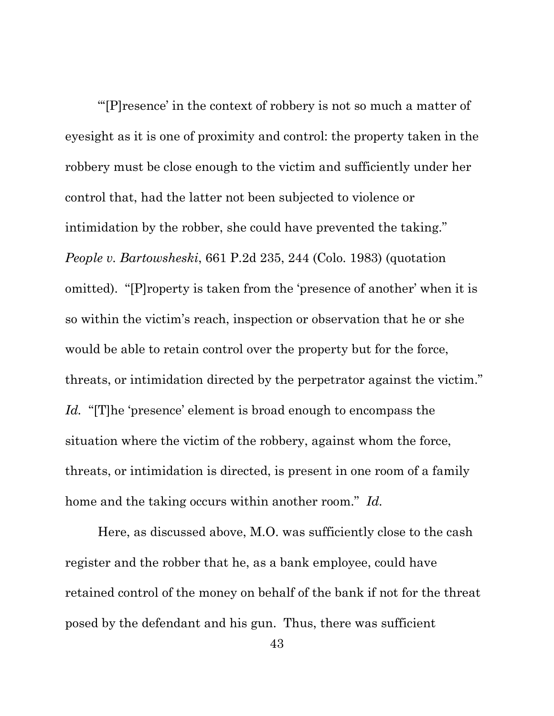"'[P]resence' in the context of robbery is not so much a matter of eyesight as it is one of proximity and control: the property taken in the robbery must be close enough to the victim and sufficiently under her control that, had the latter not been subjected to violence or intimidation by the robber, she could have prevented the taking." *People v. Bartowsheski*, 661 P.2d 235, 244 (Colo. 1983) (quotation omitted). "[P]roperty is taken from the 'presence of another' when it is so within the victim's reach, inspection or observation that he or she would be able to retain control over the property but for the force, threats, or intimidation directed by the perpetrator against the victim." *Id.* "[T]he 'presence' element is broad enough to encompass the situation where the victim of the robbery, against whom the force, threats, or intimidation is directed, is present in one room of a family home and the taking occurs within another room." *Id.*

Here, as discussed above, M.O. was sufficiently close to the cash register and the robber that he, as a bank employee, could have retained control of the money on behalf of the bank if not for the threat posed by the defendant and his gun. Thus, there was sufficient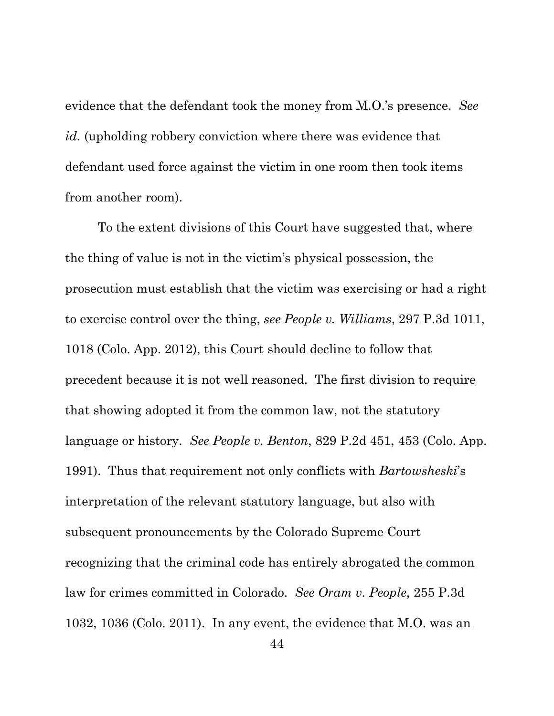evidence that the defendant took the money from M.O.'s presence. *See id.* (upholding robbery conviction where there was evidence that defendant used force against the victim in one room then took items from another room).

To the extent divisions of this Court have suggested that, where the thing of value is not in the victim's physical possession, the prosecution must establish that the victim was exercising or had a right to exercise control over the thing, *see People v. Williams*, 297 P.3d 1011, 1018 (Colo. App. 2012), this Court should decline to follow that precedent because it is not well reasoned. The first division to require that showing adopted it from the common law, not the statutory language or history. *See People v. Benton*, 829 P.2d 451, 453 (Colo. App. 1991). Thus that requirement not only conflicts with *Bartowsheski*'s interpretation of the relevant statutory language, but also with subsequent pronouncements by the Colorado Supreme Court recognizing that the criminal code has entirely abrogated the common law for crimes committed in Colorado. *See Oram v. People*, 255 P.3d 1032, 1036 (Colo. 2011). In any event, the evidence that M.O. was an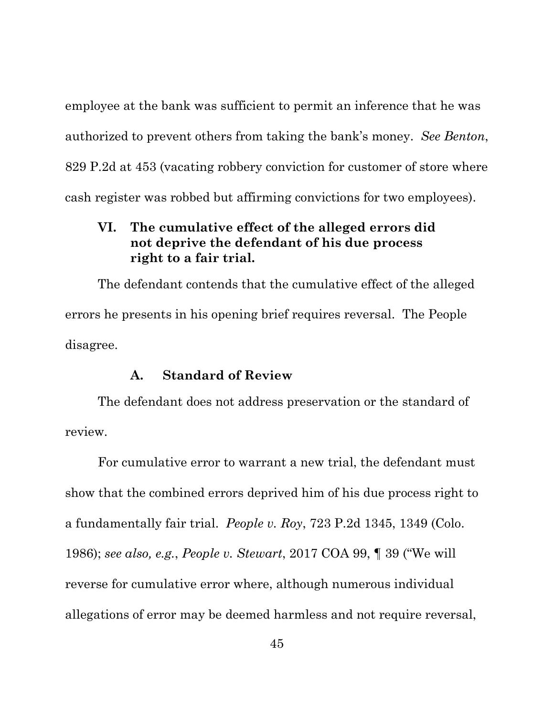employee at the bank was sufficient to permit an inference that he was authorized to prevent others from taking the bank's money. *See Benton*, 829 P.2d at 453 (vacating robbery conviction for customer of store where cash register was robbed but affirming convictions for two employees).

## <span id="page-53-0"></span>**VI. The cumulative effect of the alleged errors did not deprive the defendant of his due process right to a fair trial.**

The defendant contends that the cumulative effect of the alleged errors he presents in his opening brief requires reversal. The People disagree.

### **A. Standard of Review**

<span id="page-53-1"></span>The defendant does not address preservation or the standard of review.

For cumulative error to warrant a new trial, the defendant must show that the combined errors deprived him of his due process right to a fundamentally fair trial. *People v. Roy*, 723 P.2d 1345, 1349 (Colo. 1986); *see also, e.g.*, *People v. Stewart*, 2017 COA 99, ¶ 39 ("We will reverse for cumulative error where, although numerous individual allegations of error may be deemed harmless and not require reversal,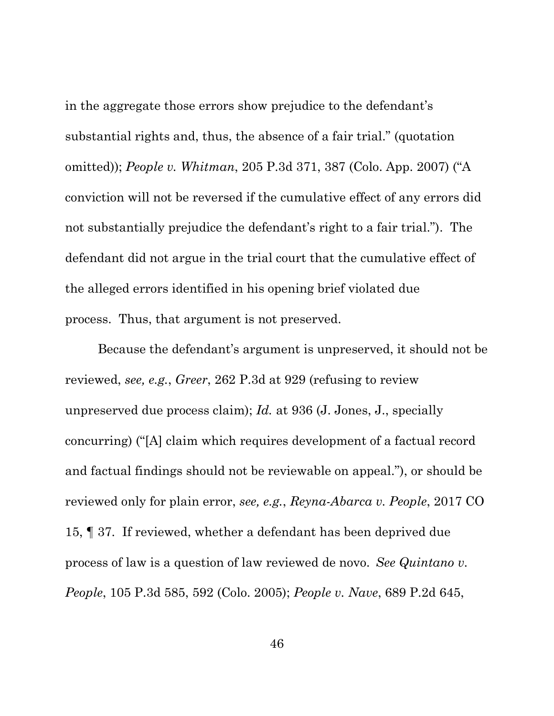in the aggregate those errors show prejudice to the defendant's substantial rights and, thus, the absence of a fair trial." (quotation omitted)); *People v. Whitman*, 205 P.3d 371, 387 (Colo. App. 2007) ("A conviction will not be reversed if the cumulative effect of any errors did not substantially prejudice the defendant's right to a fair trial."). The defendant did not argue in the trial court that the cumulative effect of the alleged errors identified in his opening brief violated due process. Thus, that argument is not preserved.

Because the defendant's argument is unpreserved, it should not be reviewed, *see, e.g.*, *Greer*, 262 P.3d at 929 (refusing to review unpreserved due process claim); *Id.* at 936 (J. Jones, J., specially concurring) ("[A] claim which requires development of a factual record and factual findings should not be reviewable on appeal."), or should be reviewed only for plain error, *see, e.g.*, *Reyna-Abarca v. People*, 2017 CO 15, ¶ 37. If reviewed, whether a defendant has been deprived due process of law is a question of law reviewed de novo. *See Quintano v. People*, 105 P.3d 585, 592 (Colo. 2005); *People v. Nave*, 689 P.2d 645,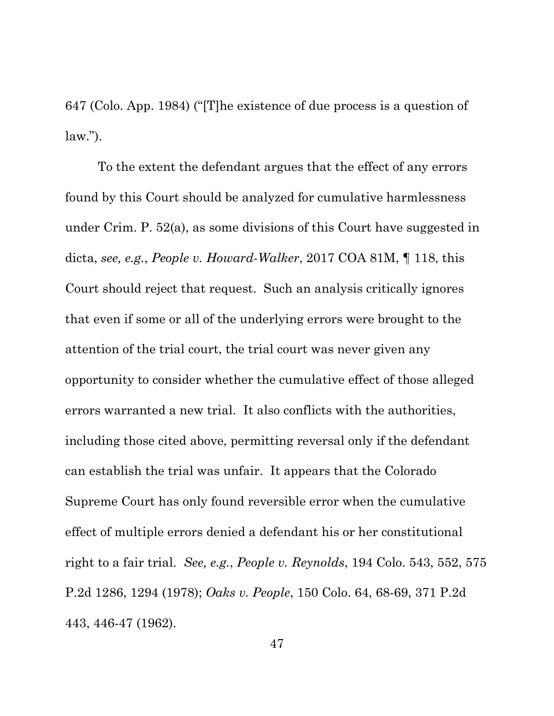647 (Colo. App. 1984) ("[T]he existence of due process is a question of  $law.'$ ).

To the extent the defendant argues that the effect of any errors found by this Court should be analyzed for cumulative harmlessness under Crim. P. 52(a), as some divisions of this Court have suggested in dicta, *see, e.g.*, *People v. Howard-Walker*, 2017 COA 81M, ¶ 118, this Court should reject that request. Such an analysis critically ignores that even if some or all of the underlying errors were brought to the attention of the trial court, the trial court was never given any opportunity to consider whether the cumulative effect of those alleged errors warranted a new trial. It also conflicts with the authorities, including those cited above, permitting reversal only if the defendant can establish the trial was unfair. It appears that the Colorado Supreme Court has only found reversible error when the cumulative effect of multiple errors denied a defendant his or her constitutional right to a fair trial. *See, e.g.*, *People v. Reynolds*, 194 Colo. 543, 552, 575 P.2d 1286, 1294 (1978); *Oaks v. People*, 150 Colo. 64, 68-69, 371 P.2d 443, 446-47 (1962).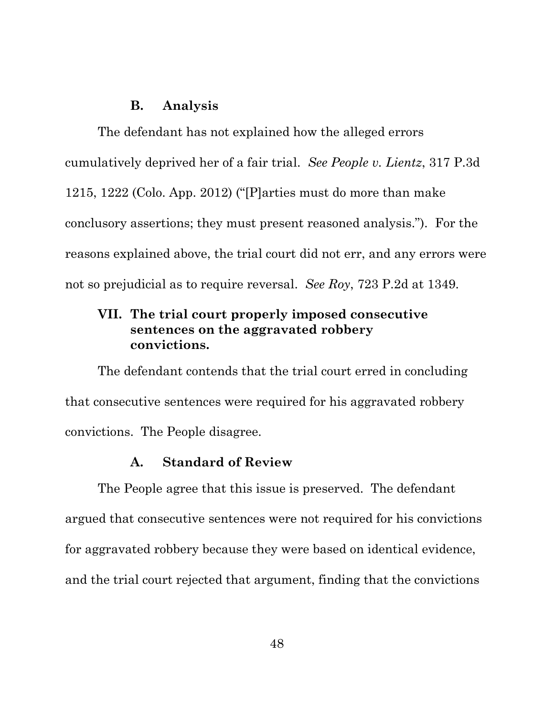### **B. Analysis**

<span id="page-56-0"></span>The defendant has not explained how the alleged errors cumulatively deprived her of a fair trial. *See People v. Lientz*, 317 P.3d 1215, 1222 (Colo. App. 2012) ("[P]arties must do more than make conclusory assertions; they must present reasoned analysis."). For the reasons explained above, the trial court did not err, and any errors were not so prejudicial as to require reversal. *See Roy*, 723 P.2d at 1349.

# <span id="page-56-1"></span>**VII. The trial court properly imposed consecutive sentences on the aggravated robbery convictions.**

The defendant contends that the trial court erred in concluding that consecutive sentences were required for his aggravated robbery convictions. The People disagree.

### **A. Standard of Review**

<span id="page-56-2"></span>The People agree that this issue is preserved. The defendant argued that consecutive sentences were not required for his convictions for aggravated robbery because they were based on identical evidence, and the trial court rejected that argument, finding that the convictions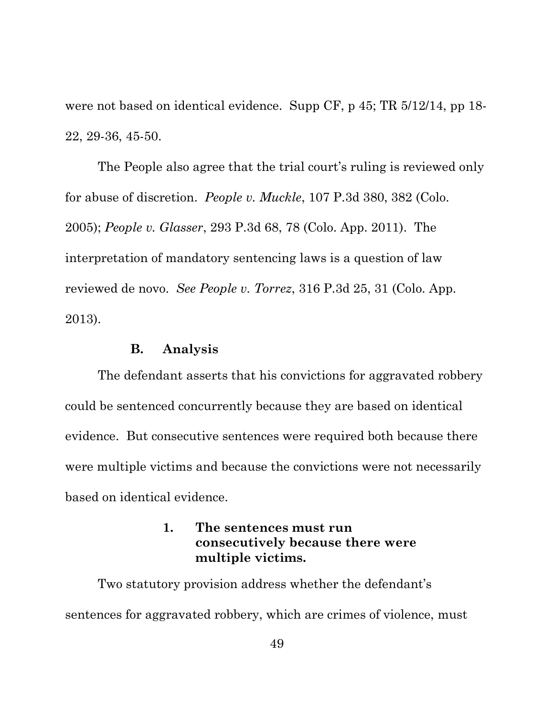were not based on identical evidence. Supp CF, p 45; TR 5/12/14, pp 18- 22, 29-36, 45-50.

The People also agree that the trial court's ruling is reviewed only for abuse of discretion. *People v. Muckle*, 107 P.3d 380, 382 (Colo. 2005); *People v. Glasser*, 293 P.3d 68, 78 (Colo. App. 2011). The interpretation of mandatory sentencing laws is a question of law reviewed de novo. *See People v. Torrez*, 316 P.3d 25, 31 (Colo. App. 2013).

### **B. Analysis**

<span id="page-57-0"></span>The defendant asserts that his convictions for aggravated robbery could be sentenced concurrently because they are based on identical evidence. But consecutive sentences were required both because there were multiple victims and because the convictions were not necessarily based on identical evidence.

## **1. The sentences must run consecutively because there were multiple victims.**

<span id="page-57-1"></span>Two statutory provision address whether the defendant's sentences for aggravated robbery, which are crimes of violence, must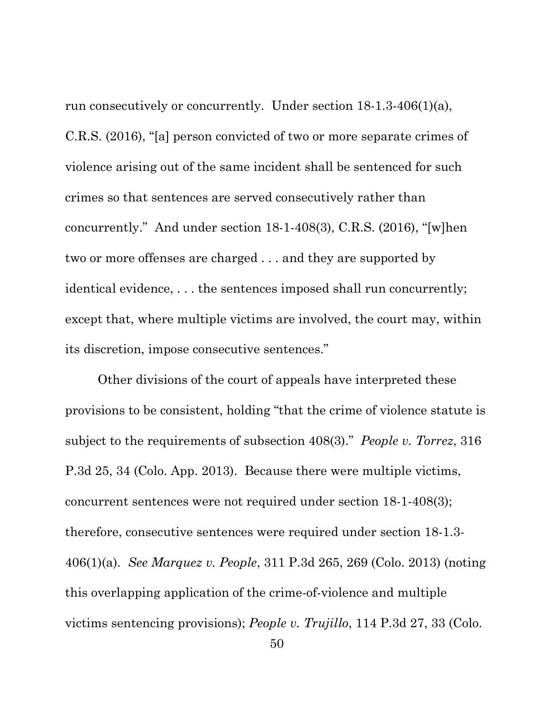run consecutively or concurrently. Under section 18-1.3-406(1)(a), C.R.S. (2016), "[a] person convicted of two or more separate crimes of violence arising out of the same incident shall be sentenced for such crimes so that sentences are served consecutively rather than concurrently." And under section 18-1-408(3), C.R.S. (2016), "[w]hen two or more offenses are charged . . . and they are supported by identical evidence, . . . the sentences imposed shall run concurrently; except that, where multiple victims are involved, the court may, within its discretion, impose consecutive sentences."

Other divisions of the court of appeals have interpreted these provisions to be consistent, holding "that the crime of violence statute is subject to the requirements of subsection 408(3)." *People v. Torrez*, 316 P.3d 25, 34 (Colo. App. 2013). Because there were multiple victims, concurrent sentences were not required under section 18-1-408(3); therefore, consecutive sentences were required under section 18-1.3- 406(1)(a). *See Marquez v. People*, 311 P.3d 265, 269 (Colo. 2013) (noting this overlapping application of the crime-of-violence and multiple victims sentencing provisions); *People v. Trujillo*, 114 P.3d 27, 33 (Colo.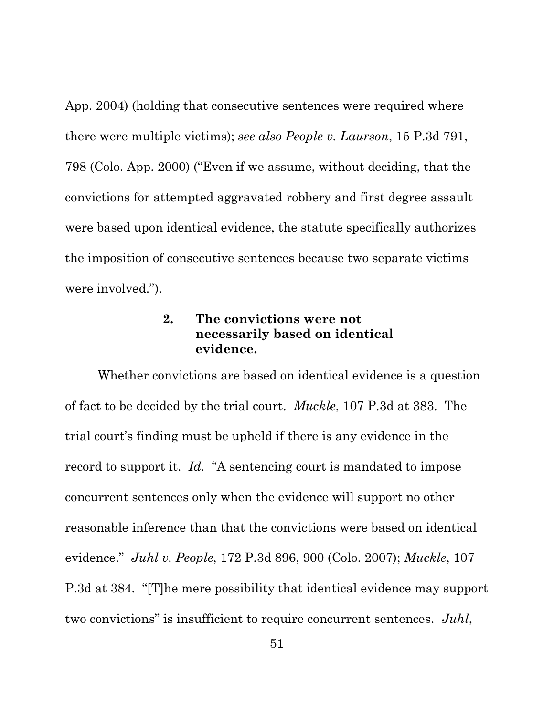App. 2004) (holding that consecutive sentences were required where there were multiple victims); *see also People v. Laurson*, 15 P.3d 791, 798 (Colo. App. 2000) ("Even if we assume, without deciding, that the convictions for attempted aggravated robbery and first degree assault were based upon identical evidence, the statute specifically authorizes the imposition of consecutive sentences because two separate victims were involved.").

## **2. The convictions were not necessarily based on identical evidence.**

<span id="page-59-0"></span>Whether convictions are based on identical evidence is a question of fact to be decided by the trial court. *Muckle*, 107 P.3d at 383. The trial court's finding must be upheld if there is any evidence in the record to support it. *Id.* "A sentencing court is mandated to impose concurrent sentences only when the evidence will support no other reasonable inference than that the convictions were based on identical evidence." *Juhl v. People*, 172 P.3d 896, 900 (Colo. 2007); *Muckle*, 107 P.3d at 384. "[T]he mere possibility that identical evidence may support two convictions" is insufficient to require concurrent sentences. *Juhl*,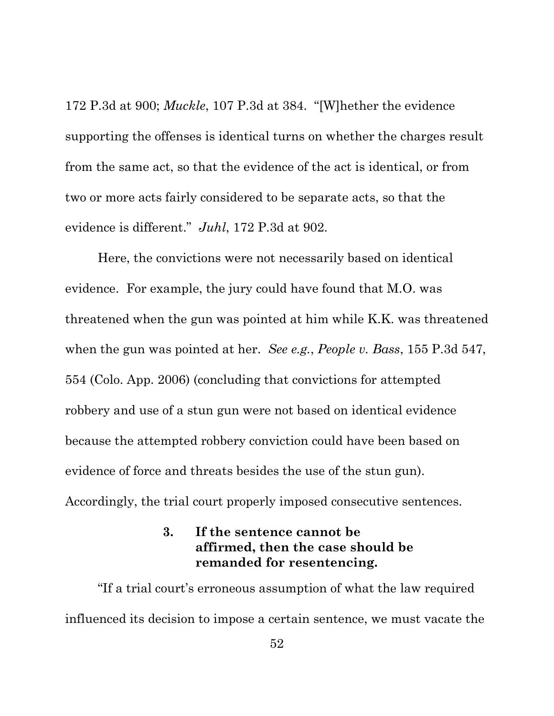172 P.3d at 900; *Muckle*, 107 P.3d at 384. "[W]hether the evidence supporting the offenses is identical turns on whether the charges result from the same act, so that the evidence of the act is identical, or from two or more acts fairly considered to be separate acts, so that the evidence is different." *Juhl*, 172 P.3d at 902.

Here, the convictions were not necessarily based on identical evidence. For example, the jury could have found that M.O. was threatened when the gun was pointed at him while K.K. was threatened when the gun was pointed at her. *See e.g.*, *People v. Bass*, 155 P.3d 547, 554 (Colo. App. 2006) (concluding that convictions for attempted robbery and use of a stun gun were not based on identical evidence because the attempted robbery conviction could have been based on evidence of force and threats besides the use of the stun gun). Accordingly, the trial court properly imposed consecutive sentences.

## **3. If the sentence cannot be affirmed, then the case should be remanded for resentencing.**

<span id="page-60-0"></span>"If a trial court's erroneous assumption of what the law required influenced its decision to impose a certain sentence, we must vacate the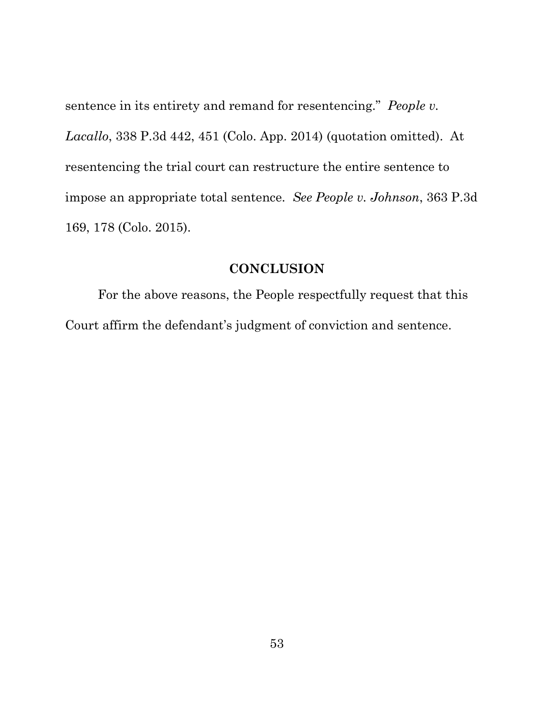sentence in its entirety and remand for resentencing." *People v. Lacallo*, 338 P.3d 442, 451 (Colo. App. 2014) (quotation omitted). At resentencing the trial court can restructure the entire sentence to impose an appropriate total sentence. *See People v. Johnson*, 363 P.3d 169, 178 (Colo. 2015).

### **CONCLUSION**

<span id="page-61-0"></span>For the above reasons, the People respectfully request that this Court affirm the defendant's judgment of conviction and sentence.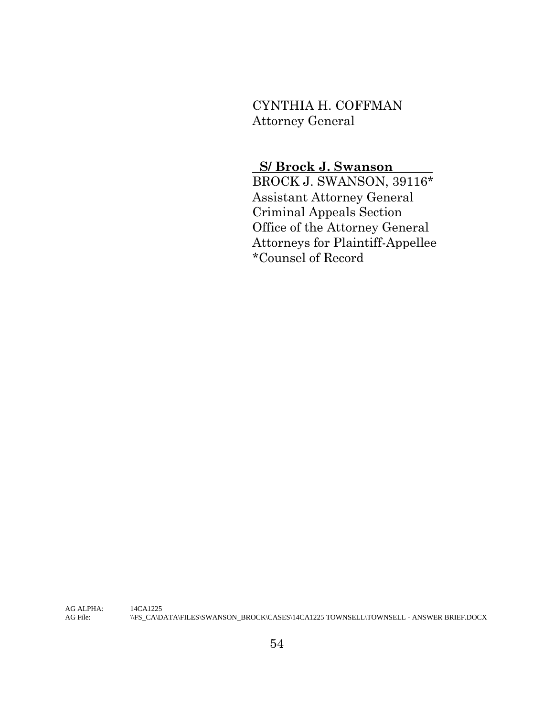# CYNTHIA H. COFFMAN Attorney General

# **S/ Brock J. Swanson**

BROCK J. SWANSON, 39116\* Assistant Attorney General Criminal Appeals Section Office of the Attorney General Attorneys for Plaintiff-Appellee \*Counsel of Record

AG ALPHA: 14CA1225<br>AG File:  $\|\text{FS\_CA}\|$ D. AG File: \\FS\_CA\DATA\FILES\SWANSON\_BROCK\CASES\14CA1225 TOWNSELL\TOWNSELL - ANSWER BRIEF.DOCX